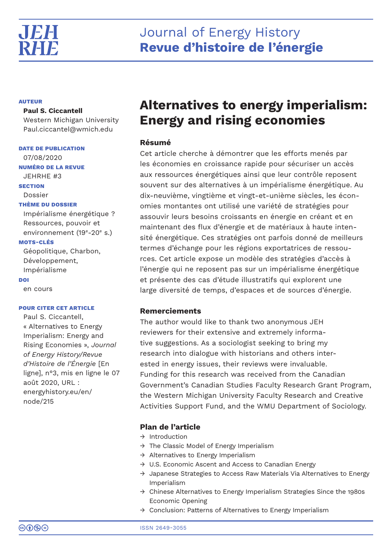

# **AUTEUR**

# **Paul S. Ciccantell**

Western Michigan University Paul.ciccantel@wmich.edu

# **DATE DE PUBLICATION**

07/08/2020

**NUMÉRO DE LA REVUE**

# JEHRHE #3

**SECTION**

# Dossier

# **THÈME DU DOSSIER**

Impérialisme énergétique ? Ressources, pouvoir et environnement (19<sup>e</sup>-20<sup>e</sup> s.)

# **MOTS-CLÉS**

Géopolitique, Charbon, Développement, Impérialisme **DOI** en cours

# **POUR CITER CET ARTICLE**

Paul S. Ciccantell, « Alternatives to Energy Imperialism: Energy and Rising Economies », *Journal of Energy History/Revue d'Histoire de l'Énergie* [En ligne], n°3, mis en ligne le 07 août 2020, URL : energyhistory.eu/en/ node/215

# **Alternatives to energy imperialism: Energy and rising economies**

# **Résumé**

Cet article cherche à démontrer que les efforts menés par les économies en croissance rapide pour sécuriser un accès aux ressources énergétiques ainsi que leur contrôle reposent souvent sur des alternatives à un impérialisme énergétique. Au dix-neuvième, vingtième et vingt-et-unième siècles, les économies montantes ont utilisé une variété de stratégies pour assouvir leurs besoins croissants en énergie en créant et en maintenant des flux d'énergie et de matériaux à haute intensité énergétique. Ces stratégies ont parfois donné de meilleurs termes d'échange pour les régions exportatrices de ressources. Cet article expose un modèle des stratégies d'accès à l'énergie qui ne reposent pas sur un impérialisme énergétique et présente des cas d'étude illustratifs qui explorent une large diversité de temps, d'espaces et de sources d'énergie.

# **Remerciements**

The author would like to thank two anonymous JEH reviewers for their extensive and extremely informative suggestions. As a sociologist seeking to bring my research into dialogue with historians and others interested in energy issues, their reviews were invaluable. Funding for this research was received from the Canadian Government's Canadian Studies Faculty Research Grant Program, the Western Michigan University Faculty Research and Creative Activities Support Fund, and the WMU Department of Sociology.

# **Plan de l'article**

- → Introduction
- $\rightarrow$  The Classic Model of Energy Imperialism
- $\rightarrow$  Alternatives to Energy Imperialism
- → U.S. Economic Ascent and Access to Canadian Energy
- → Japanese Strategies to Access Raw Materials Via Alternatives to Energy Imperialism
- → Chinese Alternatives to Energy Imperialism Strategies Since the 1980s Economic Opening
- → Conclusion: Patterns of Alternatives to Energy Imperialism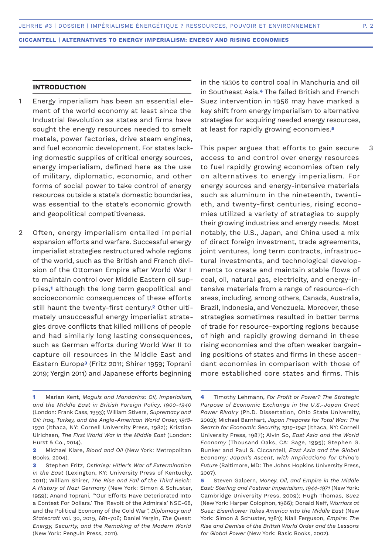# **INTRODUCTION**

- Energy imperialism has been an essential element of the world economy at least since the Industrial Revolution as states and firms have sought the energy resources needed to smelt metals, power factories, drive steam engines, and fuel economic development. For states lacking domestic supplies of critical energy sources, energy imperialism, defined here as the use of military, diplomatic, economic, and other forms of social power to take control of energy resources outside a state's domestic boundaries, was essential to the state's economic growth and geopolitical competitiveness. 1
- Often, energy imperialism entailed imperial expansion efforts and warfare. Successful energy imperialist strategies restructured whole regions of the world, such as the British and French division of the Ottoman Empire after World War I to maintain control over Middle Eastern oil supplies,**1** although the long term geopolitical and socioeconomic consequences of these efforts still haunt the twenty-first century.**2** Other ultimately unsuccessful energy imperialist strategies drove conflicts that killed millions of people and had similarly long lasting consequences. such as German efforts during World War II to capture oil resources in the Middle East and Eastern Europe**3** (Fritz 2011; Shirer 1959; Toprani 2019; Yergin 2011) and Japanese efforts beginning  $\mathcal{D}$

**1** Marian Kent, *Moguls and Mandarins: Oil, Imperialism, and the Middle East in British Foreign Policy, 1900-1940* (London: Frank Cass, 1993); William Stivers, *Supremacy and Oil: Iraq, Turkey, and the Anglo-American World Order, 1918- 1930* (Ithaca, NY: Cornell University Press, 1982); Kristian Ulrichsen, *The First World War in the Middle East* (London: Hurst & Co., 2014).

**2** Michael Klare, *Blood and Oil* (New York: Metropolitan Books, 2004).

**3** Stephen Fritz, *Ostkrieg: Hitler's War of Extermination in the East* (Lexington, KY: University Press of Kentucky, 2011); William Shirer, *The Rise and Fall of the Third Reich: A History of Nazi Germany* (New York: Simon & Schuster, 1959); Anand Toprani, "'Our Efforts Have Deteriorated Into a Contest For Dollars.' The 'Revolt of the Admirals' NSC-68, and the Political Economy of the Cold War", *Diplomacy and Statecraft* vol. 30, 2019, 681-706; Daniel Yergin, *The Quest: Energy, Security, and the Remaking of the Modern World*  (New York: Penguin Press, 2011).

in the 1930s to control coal in Manchuria and oil in Southeast Asia.**4** The failed British and French Suez intervention in 1956 may have marked a key shift from energy imperialism to alternative strategies for acquiring needed energy resources, at least for rapidly growing economies.**<sup>5</sup>**

This paper argues that efforts to gain secure access to and control over energy resources to fuel rapidly growing economies often rely on alternatives to energy imperialism. For energy sources and energy-intensive materials such as aluminum in the nineteenth, twentieth, and twenty-first centuries, rising economies utilized a variety of strategies to supply their growing industries and energy needs. Most notably, the U.S., Japan, and China used a mix of direct foreign investment, trade agreements, joint ventures, long term contracts, infrastructural investments, and technological developments to create and maintain stable flows of coal, oil, natural gas, electricity, and energy-intensive materials from a range of resource-rich areas, including, among others, Canada, Australia, Brazil, Indonesia, and Venezuela. Moreover, these strategies sometimes resulted in better terms of trade for resource-exporting regions because of high and rapidly growing demand in these rising economies and the often weaker bargaining positions of states and firms in these ascendant economies in comparison with those of more established core states and firms. This

**4** Timothy Lehmann, *For Profit or Power? The Strategic Purpose of Economic Exchange in the U.S.-Japan Great Power Rivalry* (Ph.D. Dissertation, Ohio State University, 2002); Michael Barnhart, *Japan Prepares for Total War: The Search for Economic Security, 1919-1941* (Ithaca, NY: Cornell University Press, 1987); Alvin So, *East Asia and the World Economy* (Thousand Oaks, CA: Sage, 1995); Stephen G. Bunker and Paul S. Ciccantell, *East Asia and the Global Economy: Japan's Ascent, with Implications for China's Future* (Baltimore, MD: The Johns Hopkins University Press, 2007).

3

**<sup>5</sup>** Steven Galpern, *Money, Oil, and Empire in the Middle East: Sterling and Postwar Imperialism, 1944-1971* (New York: Cambridge University Press, 2009); Hugh Thomas, *Suez* (New York: Harper Colophon, 1966); Donald Neff, *Warriors at Suez: Eisenhower Takes America into the Middle East* (New York: Simon & Schuster, 1981); Niall Ferguson, *Empire: The Rise and Demise of the British World Order and the Lessons for Global Power* (New York: Basic Books, 2002).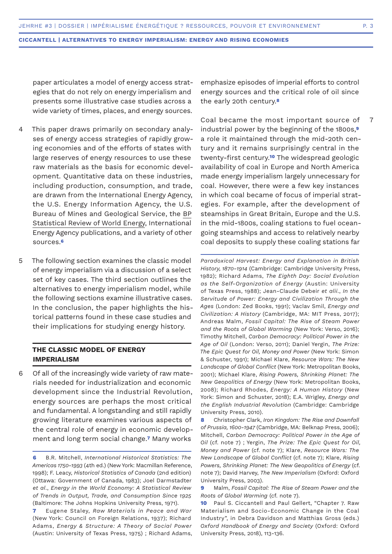paper articulates a model of energy access strategies that do not rely on energy imperialism and presents some illustrative case studies across a wide variety of times, places, and energy sources.

- This paper draws primarily on secondary analyses of energy access strategies of rapidly growing economies and of the efforts of states with large reserves of energy resources to use these raw materials as the basis for economic development. Quantitative data on these industries, including production, consumption, and trade, are drawn from the International Energy Agency, the U.S. Energy Information Agency, the U.S. Bureau of Mines and Geological Service, the BP Statistical Review of World Energy, International Energy Agency publications, and a variety of other sources.**<sup>6</sup>** 4
- The following section examines the classic model of energy imperialism via a discussion of a select set of key cases. The third section outlines the alternatives to energy imperialism model, while the following sections examine illustrative cases. In the conclusion, the paper highlights the historical patterns found in these case studies and their implications for studying energy history. 5

# **THE CLASSIC MODEL OF ENERGY IMPERIALISM**

Of all of the increasingly wide variety of raw materials needed for industrialization and economic development since the Industrial Revolution, energy sources are perhaps the most critical and fundamental. A longstanding and still rapidly growing literature examines various aspects of the central role of energy in economic development and long term social change.**7** Many works 6

emphasize episodes of imperial efforts to control energy sources and the critical role of oil since the early 20th century.**<sup>8</sup>**

Coal became the most important source of industrial power by the beginning of the 1800s,**<sup>9</sup>** a role it maintained through the mid-20th century and it remains surprisingly central in the twenty-first century.**10** The widespread geologic availability of coal in Europe and North America made energy imperialism largely unnecessary for coal. However, there were a few key instances in which coal became of focus of imperial strategies. For example, after the development of steamships in Great Britain, Europe and the U.S. in the mid-1800s, coaling stations to fuel oceangoing steamships and access to relatively nearby coal deposits to supply these coaling stations far 7

*Paradoxical Harvest: Energy and Explanation in British History, 1870-1914* (Cambridge: Cambridge University Press, 1982); Richard Adams, *The Eighth Day: Social Evolution as the Self-Organization of Energy* (Austin: University of Texas Press, 1988); Jean-Claude Debeir *et alii*., *In the Servitude of Power: Energy and Civilization Through the Ages* (London: Zed Books, 1991); Vaclav Smil, *Energy and Civilization: A History* (Cambridge, MA: MIT Press, 2017); Andreas Malm, *Fossil Capital: The Rise of Steam Power and the Roots of Global Warming* (New York: Verso, 2016); Timothy Mitchell, *Carbon Democracy: Political Power in the Age of Oil* (London: Verso, 2011); Daniel Yergin, *The Prize: The Epic Quest for Oil, Money and Power* (New York: Simon & Schuster, 1991); Michael Klare, *Resource Wars: The New Landscape of Global Conflict* (New York: Metropolitan Books, 2001); Michael Klare, *Rising Powers, Shrinking Planet: The New Geopolitics of Energy* (New York: Metropolitan Books, 2008); Richard Rhodes, *Energy: A Human History* (New York: Simon and Schuster, 2018); E.A. Wrigley, *Energy and the English Industrial Revolution* (Cambridge: Cambridge University Press, 2010).

**8** Christopher Clark, *Iron Kingdom: The Rise and Downfall of Prussia, 1600-1947* (Cambridge, MA: Belknap Press, 2006); Mitchell, *Carbon Democracy: Political Power in the Age of Oil* (cf. note 7) ; Yergin, *The Prize: The Epic Quest for Oil, Money and Power* (cf. note 7); Klare, *Resource Wars: The New Landscape of Global Conflict* (cf. note 7); Klare, *Rising Powers, Shrinking Planet: The New Geopolitics of Energy* (cf. note 7); David Harvey, *The New Imperialism* (Oxford: Oxford University Press, 2003).

**9** Malm, *Fossil Capital: The Rise of Steam Power and the Roots of Global Warming* (cf. note 7).

**10** Paul S. Ciccantell and Paul Gellert, "Chapter 7. Raw Materialism and Socio-Economic Change in the Coal Industry", in Debra Davidson and Matthias Gross (eds.) *Oxford Handbook of Energy and Society* (Oxford: Oxford University Press, 2018), 113-136.

**<sup>6</sup>** B.R. Mitchell, *International Historical Statistics: The Americas 1750-1993* (4th ed.) (New York: Macmillan Reference, 1998); F. Leacy, *Historical Statistics of Canada* (2nd edition) (Ottawa: Government of Canada, 1983); Joel Darmstadter *et al*., *Energy in the World Economy: A Statistical Review of Trends in Output, Trade, and Consumption Since 1925*  (Baltimore: The Johns Hopkins University Press, 1971).

**<sup>7</sup>** Eugene Staley, *Raw Materials in Peace and War* (New York: Council on Foreign Relations, 1937); Richard Adams, *Energy & Structure: A Theory of Social Power*  (Austin: University of Texas Press, 1975) ; Richard Adams,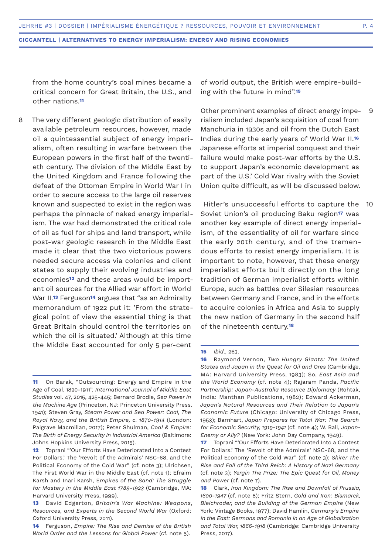from the home country's coal mines became a critical concern for Great Britain, the U.S., and other nations.**<sup>11</sup>**

The very different geologic distribution of easily available petroleum resources, however, made oil a quintessential subject of energy imperialism, often resulting in warfare between the European powers in the first half of the twentieth century. The division of the Middle East by the United Kingdom and France following the defeat of the Ottoman Empire in World War I in order to secure access to the large oil reserves known and suspected to exist in the region was perhaps the pinnacle of naked energy imperialism. The war had demonstrated the critical role of oil as fuel for ships and land transport, while post-war geologic research in the Middle East made it clear that the two victorious powers needed secure access via colonies and client states to supply their evolving industries and economies**12** and these areas would be important oil sources for the Allied war effort in World War II.**13** Ferguson**14** argues that "as an Admiralty memorandum of 1922 put it: 'From the strategical point of view the essential thing is that Great Britain should control the territories on which the oil is situated.' Although at this time the Middle East accounted for only 5 per-cent 8

of world output, the British were empire-building with the future in mind".**<sup>15</sup>**

Other prominent examples of direct energy imperialism included Japan's acquisition of coal from Manchuria in 1930s and oil from the Dutch East Indies during the early years of World War II.**<sup>16</sup>** Japanese efforts at imperial conquest and their failure would make post-war efforts by the U.S. to support Japan's economic development as part of the U.S.' Cold War rivalry with the Soviet Union quite difficult, as will be discussed below. 9

 Hitler's unsuccessful efforts to capture the 10Soviet Union's oil producing Baku region**17** was another key example of direct energy imperialism, of the essentiality of oil for warfare since the early 20th century, and of the tremendous efforts to resist energy imperialism. It is important to note, however, that these energy imperialist efforts built directly on the long tradition of German imperialist efforts within Europe, such as battles over Silesian resources between Germany and France, and in the efforts to acquire colonies in Africa and Asia to supply the new nation of Germany in the second half of the nineteenth century.**<sup>18</sup>**

**16** Raymond Vernon, *Two Hungry Giants: The United States and Japan in the Quest for Oil and Ores* (Cambridge, MA: Harvard University Press, 1983); So, *East Asia and the World Economy* (cf. note 4); Rajaram Panda, *Pacific Partnership: Japan-Australia Resource Diplomacy* (Rohtak, India: Manthan Publications, 1982); Edward Ackerman, *Japan's Natural Resources and Their Relation to Japan's Economic Future* (Chicago: University of Chicago Press, 1953); Barnhart, *Japan Prepares for Total War: The Search for Economic Security, 1919-1941* (cf. note 4); W. Ball, *Japan-Enemy or Ally?* (New York: John Day Company, 1949).

**<sup>11</sup>** On Barak, "Outsourcing: Energy and Empire in the Age of Coal, 1820-1911", *International Journal of Middle East Studies* vol. 47, 2015, 425-445; Bernard Brodie, *Sea Power in the Machine Age* (Princeton, NJ: Princeton University Press. 1941); Steven Gray, *Steam Power and Sea Power: Coal, The Royal Navy, and the British Empire, c. 1870-1914* (London: Palgrave Macmillan, 2017); Peter Shulman, *Coal & Empire: The Birth of Energy Security in Industrial America* (Baltimore: Johns Hopkins University Press, 2015).

**<sup>12</sup>** Toprani "'Our Efforts Have Deteriorated Into a Contest For Dollars.' The 'Revolt of the Admirals' NSC-68, and the Political Economy of the Cold War" (cf. note 3); Ulrichsen, The First World War in the Middle East (cf. note 1); Efraim Karsh and Inari Karsh, E*mpires of the Sand: The Struggle for Mastery in the Middle East 1789-1923* (Cambridge, MA: Harvard University Press, 1999).

**<sup>13</sup>** David Edgerton, *Britain's War Machine: Weapons, Resources, and Experts in the Second World War* (Oxford: Oxford University Press, 2011).

**<sup>14</sup>** Ferguson, *Empire: The Rise and Demise of the British World Order and the Lessons for Global Power* (cf. note 5).

**<sup>15</sup>** *Ibid*., 263.

**<sup>17</sup>** Toprani "'Our Efforts Have Deteriorated Into a Contest For Dollars.' The 'Revolt of the Admirals' NSC-68, and the Political Economy of the Cold War" (cf. note 3); *Shirer The Rise and Fall of the Third Reich: A History of Nazi Germany* (cf. note 3); *Yergin The Prize: The Epic Quest for Oil, Money and Power* (cf. note 7).

**<sup>18</sup>** Clark, *Iron Kingdom: The Rise and Downfall of Prussia, 1600-1947* (cf. note 8); Fritz Stern, *Gold and Iron: Bismarck, Bleichroder, and the Building of the German Empire* (New York: Vintage Books, 1977); David Hamlin, *Germany's Empire in the East: Germans and Romania in an Age of Globalization and Total War, 1866-1918* (Cambridge: Cambridge University Press, 2017).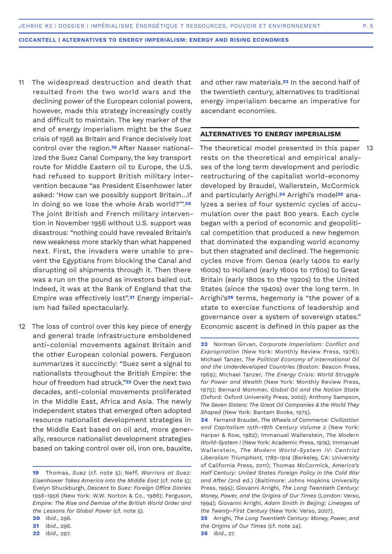- The widespread destruction and death that resulted from the two world wars and the declining power of the European colonial powers, however, made this strategy increasingly costly and difficult to maintain. The key marker of the end of energy imperialism might be the Suez crisis of 1956 as Britain and France decisively lost control over the region.**19** After Nasser nationalized the Suez Canal Company, the key transport route for Middle Eastern oil to Europe, the U.S. had refused to support British military intervention because "as President Eisenhower later asked: 'How can we possibly support Britain…if in doing so we lose the whole Arab world?'".**<sup>20</sup>** The joint British and French military intervention in November 1956 without U.S. support was disastrous: "nothing could have revealed Britain's new weakness more starkly than what happened next. First, the invaders were unable to prevent the Egyptians from blocking the Canal and disrupting oil shipments through it. Then there was a run on the pound as investors bailed out. Indeed, it was at the Bank of England that the Empire was effectively lost".**21** Energy imperialism had failed spectacularly. 11
- The loss of control over this key piece of energy and general trade infrastructure emboldened anti-colonial movements against Britain and the other European colonial powers. Ferguson summarizes it succinctly: "Suez sent a signal to nationalists throughout the British Empire: the hour of freedom had struck."**22** Over the next two decades, anti-colonial movements proliferated in the Middle East, Africa and Asia. The newly independent states that emerged often adopted resource nationalist development strategies in the Middle East based on oil and, more generally, resource nationalist development strategies based on taking control over oil, iron ore, bauxite, 12

**20** *Ibid*., 296.

**21** *Ibid*., 296.

and other raw materials.**23** In the second half of the twentieth century, alternatives to traditional energy imperialism became an imperative for ascendant economies.

# **ALTERNATIVES TO ENERGY IMPERIALISM**

The theoretical model presented in this paper rests on the theoretical and empirical analyses of the long term development and periodic restructuring of the capitalist world-economy developed by Braudel, Wallerstein, McCormick and particularly Arrighi.**24** Arrighi's model**25** analyzes a series of four systemic cycles of accumulation over the past 800 years. Each cycle began with a period of economic and geopolitical competition that produced a new hegemon that dominated the expanding world economy but then stagnated and declined. The hegemonic cycles move from Genoa (early 1400s to early 1600s) to Holland (early 1600s to 1780s) to Great Britain (early 1800s to the 1920s) to the United States (since the 1940s) over the long term. In Arrighi's**26** terms, hegemony is "the power of a state to exercise functions of leadership and governance over a system of sovereign states." Economic ascent is defined in this paper as the 13

**24** Fernand Braudel, *The Wheels of Commerce: Civilization and Capitalism 15th-18th Century Volume 2* (New York: Harper & Row, 1982); Immanuel Wallerstein, *The Modern World-System I* (New York: Academic Press, 1974); Immanuel Wallerstein, *The Modern World-System IV: Centrist Liberalism Triumphant, 1789-1914* (Berkeley, CA: University of California Press, 2011); Thomas McCormick, *America's Half Century: United States Foreign Policy in the Cold War and After (*2nd ed.) (Baltimore: Johns Hopkins University Press, 1995); Giovanni Arrighi, *The Long Twentieth Century: Money, Power, and the Origins of Our Times* (London: Verso, 1994); Giovanni Arrighi, *Adam Smith in Beijing: Lineages of the Twenty-First Century* (New York: Verso, 2007).

**<sup>19</sup>** Thomas, *Suez* (cf. note 5); Neff, *Warriors at Suez: Eisenhower Takes America into the Middle East* (cf. note 5); Evelyn Shuckburgh, *Descent to Suez: Foreign Office Diaries 1956-1956* (New York: W.W. Norton & Co., 1986); Ferguson, *Empire: The Rise and Demise of the British World Order and the Lessons for Global Power* (cf. note 5).

**<sup>22</sup>** *Ibid*., 297.

**<sup>23</sup>** Norman Girvan, *Corporate Imperialism: Conflict and Expropriation* (New York: Monthly Review Press, 1976); Michael Tanzer, *The Political Economy of International Oil and the Underdeveloped Countries* (Boston: Beacon Press, 1969); Michael Tanzer, *The Energy Crisis: World Struggle for Power and Wealth* (New York: Monthly Review Press, 1975); Bernard Mommer, *Global Oil and the Nation State*  (Oxford: Oxford University Press, 2002); Anthony Sampson, *The Seven Sisters: The Great Oil Companies & the World They Shaped* (New York: Bantam Books, 1975).

**<sup>25</sup>** Arrighi, *The Long Twentieth Century: Money, Power, and the Origins of Our Times* (cf. note 24).

**<sup>26</sup>** *Ibid*., 27.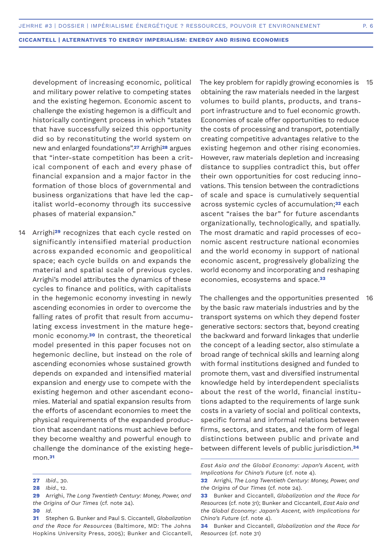development of increasing economic, political and military power relative to competing states and the existing hegemon. Economic ascent to challenge the existing hegemon is a difficult and historically contingent process in which "states that have successfully seized this opportunity did so by reconstituting the world system on new and enlarged foundations".**27** Arrighi**28** argues that "inter-state competition has been a critical component of each and every phase of financial expansion and a major factor in the formation of those blocs of governmental and business organizations that have led the capitalist world-economy through its successive phases of material expansion."

Arrighi**29** recognizes that each cycle rested on 14 significantly intensified material production across expanded economic and geopolitical space; each cycle builds on and expands the material and spatial scale of previous cycles. Arrighi's model attributes the dynamics of these cycles to finance and politics, with capitalists in the hegemonic economy investing in newly ascending economies in order to overcome the falling rates of profit that result from accumulating excess investment in the mature hegemonic economy.**30** In contrast, the theoretical model presented in this paper focuses not on hegemonic decline, but instead on the role of ascending economies whose sustained growth depends on expanded and intensified material expansion and energy use to compete with the existing hegemon and other ascendant economies. Material and spatial expansion results from the efforts of ascendant economies to meet the physical requirements of the expanded production that ascendant nations must achieve before they become wealthy and powerful enough to challenge the dominance of the existing hegemon.**<sup>31</sup>**

**30** *Id*.

The key problem for rapidly growing economies is obtaining the raw materials needed in the largest volumes to build plants, products, and transport infrastructure and to fuel economic growth. Economies of scale offer opportunities to reduce the costs of processing and transport, potentially creating competitive advantages relative to the existing hegemon and other rising economies. However, raw materials depletion and increasing distance to supplies contradict this, but offer their own opportunities for cost reducing innovations. This tension between the contradictions of scale and space is cumulatively sequential across systemic cycles of accumulation;**32** each ascent "raises the bar" for future ascendants organizationally, technologically, and spatially. The most dramatic and rapid processes of economic ascent restructure national economies and the world economy in support of national economic ascent, progressively globalizing the world economy and incorporating and reshaping economies, ecosystems and space.**<sup>33</sup>** 15

The challenges and the opportunities presented 16by the basic raw materials industries and by the transport systems on which they depend foster generative sectors: sectors that, beyond creating the backward and forward linkages that underlie the concept of a leading sector, also stimulate a broad range of technical skills and learning along with formal institutions designed and funded to promote them, vast and diversified instrumental knowledge held by interdependent specialists about the rest of the world, financial institutions adapted to the requirements of large sunk costs in a variety of social and political contexts, specific formal and informal relations between firms, sectors, and states, and the form of legal distinctions between public and private and between different levels of public jurisdiction.**<sup>34</sup>**

**<sup>27</sup>** *Ibid*., 30.

**<sup>28</sup>** *Ibid* 12

**<sup>29</sup>** Arrighi, *The Long Twentieth Century: Money, Power, and the Origins of Our Times* (cf. note 24).

**<sup>31</sup>** Stephen G. Bunker and Paul S. Ciccantell, *Globalization and the Race for Resources* (Baltimore, MD: The Johns Hopkins University Press, 2005); Bunker and Ciccantell,

*East Asia and the Global Economy: Japan's Ascent, with Implications for China's Future* (cf. note 4).

**<sup>32</sup>** Arrighi, *The Long Twentieth Century: Money, Power, and the Origins of Our Times* (cf. note 24).

**<sup>33</sup>** Bunker and Ciccantell, *Globalization and the Race for Resources* (cf. note 31); Bunker and Ciccantell, *East Asia and the Global Economy: Japan's Ascent, with Implications for China's Future* (cf. note 4).

**<sup>34</sup>** Bunker and Ciccantell, *Globalization and the Race for Resources* (cf. note 31)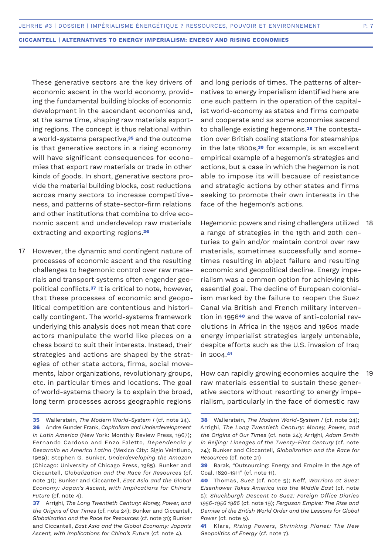These generative sectors are the key drivers of economic ascent in the world economy, providing the fundamental building blocks of economic development in the ascendant economies and, at the same time, shaping raw materials exporting regions. The concept is thus relational within a world-systems perspective,**35** and the outcome is that generative sectors in a rising economy will have significant consequences for economies that export raw materials or trade in other kinds of goods. In short, generative sectors provide the material building blocks, cost reductions across many sectors to increase competitiveness, and patterns of state-sector-firm relations and other institutions that combine to drive economic ascent and underdevelop raw materials extracting and exporting regions.**<sup>36</sup>**

However, the dynamic and contingent nature of processes of economic ascent and the resulting challenges to hegemonic control over raw materials and transport systems often engender geopolitical conflicts.**37** It is critical to note, however, that these processes of economic and geopolitical competition are contentious and historically contingent. The world-systems framework underlying this analysis does not mean that core actors manipulate the world like pieces on a chess board to suit their interests. Instead, their strategies and actions are shaped by the strategies of other state actors, firms, social movements, labor organizations, revolutionary groups, etc. in particular times and locations. The goal of world-systems theory is to explain the broad, long term processes across geographic regions 17

and long periods of times. The patterns of alternatives to energy imperialism identified here are one such pattern in the operation of the capitalist world-economy as states and firms compete and cooperate and as some economies ascend to challenge existing hegemons.**38** The contestation over British coaling stations for steamships in the late 1800s,**39** for example, is an excellent empirical example of a hegemon's strategies and actions, but a case in which the hegemon is not able to impose its will because of resistance and strategic actions by other states and firms seeking to promote their own interests in the face of the hegemon's actions.

Hegemonic powers and rising challengers utilized a range of strategies in the 19th and 20th centuries to gain and/or maintain control over raw materials, sometimes successfully and sometimes resulting in abject failure and resulting economic and geopolitical decline. Energy imperialism was a common option for achieving this essential goal. The decline of European colonialism marked by the failure to reopen the Suez Canal via British and French military intervention in 1956**40** and the wave of anti-colonial revolutions in Africa in the 1950s and 1960s made energy imperialist strategies largely untenable, despite efforts such as the U.S. invasion of Iraq in 2004.**<sup>41</sup>** 18

How can rapidly growing economies acquire the 19raw materials essential to sustain these generative sectors without resorting to energy imperialism, particularly in the face of domestic raw

**<sup>35</sup>** Wallerstein, *The Modern World-System I* (cf. note 24). **36** Andre Gunder Frank, *Capitalism and Underdevelopment in Latin America* (New York: Monthly Review Press, 1967); Fernando Cardoso and Enzo Faletto, *Dependencia y Desarrollo en America Latina* (Mexico City: Siglo Veintiuno, 1969); Stephen G. Bunker, *Underdeveloping the Amazon*  (Chicago: University of Chicago Press, 1985). Bunker and Ciccantell, *Globalization and the Race for Resources* (cf. note 31); Bunker and Ciccantell, *East Asia and the Global Economy: Japan's Ascent, with Implications for China's Future* (cf. note 4).

**<sup>37</sup>** Arrighi, *The Long Twentieth Century: Money, Power, and the Origins of Our Times* (cf. note 24); Bunker and Ciccantell, *Globalization and the Race for Resources* (cf. note 31); Bunker and Ciccantell, *East Asia and the Global Economy: Japan's Ascent, with Implications for China's Future* (cf. note 4).

**<sup>38</sup>** Wallerstein, *The Modern World-System I* (cf. note 24); Arrighi, *The Long Twentieth Century: Money, Power, and the Origins of Our Times* (cf. note 24); Arrighi, *Adam Smith in Beijing: Lineages of the Twenty-First Century* (cf. note 24); Bunker and Ciccantell, *Globalization and the Race for Resources* (cf. note 31)

**<sup>39</sup>** Barak, "Outsourcing: Energy and Empire in the Age of Coal, 1820-1911" (cf. note 11).

**<sup>40</sup>** Thomas, *Suez* (cf. note 5); Neff, *Warriors at Suez: Eisenhower Takes America into the Middle East* (cf. note 5); *Shuckburgh Descent to Suez: Foreign Office Diaries 1956-1956 1986* (cf. note 19); *Ferguson Empire: The Rise and Demise of the British World Order and the Lessons for Global Power* (cf. note 5).

**<sup>41</sup>** Klare, *Rising Powers, Shrinking Planet: The New Geopolitics of Energy* (cf. note 7).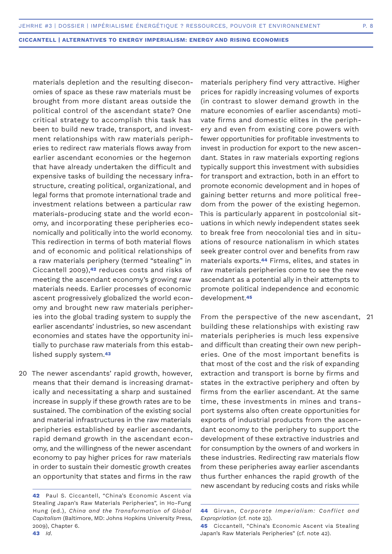materials depletion and the resulting diseconomies of space as these raw materials must be brought from more distant areas outside the political control of the ascendant state? One critical strategy to accomplish this task has been to build new trade, transport, and investment relationships with raw materials peripheries to redirect raw materials flows away from earlier ascendant economies or the hegemon that have already undertaken the difficult and expensive tasks of building the necessary infrastructure, creating political, organizational, and legal forms that promote international trade and investment relations between a particular raw materials-producing state and the world economy, and incorporating these peripheries economically and politically into the world economy. This redirection in terms of both material flows and of economic and political relationships of a raw materials periphery (termed "stealing" in Ciccantell 2009),**42** reduces costs and risks of meeting the ascendant economy's growing raw materials needs. Earlier processes of economic ascent progressively globalized the world economy and brought new raw materials peripheries into the global trading system to supply the earlier ascendants' industries, so new ascendant economies and states have the opportunity initially to purchase raw materials from this established supply system.**<sup>43</sup>**

20 The newer ascendants' rapid growth, however, means that their demand is increasing dramatically and necessitating a sharp and sustained increase in supply if these growth rates are to be sustained. The combination of the existing social and material infrastructures in the raw materials peripheries established by earlier ascendants, rapid demand growth in the ascendant economy, and the willingness of the newer ascendant economy to pay higher prices for raw materials in order to sustain their domestic growth creates an opportunity that states and firms in the raw

materials periphery find very attractive. Higher prices for rapidly increasing volumes of exports (in contrast to slower demand growth in the mature economies of earlier ascendants) motivate firms and domestic elites in the periphery and even from existing core powers with fewer opportunities for profitable investments to invest in production for export to the new ascendant. States in raw materials exporting regions typically support this investment with subsidies for transport and extraction, both in an effort to promote economic development and in hopes of gaining better returns and more political freedom from the power of the existing hegemon. This is particularly apparent in postcolonial situations in which newly independent states seek to break free from neocolonial ties and in situations of resource nationalism in which states seek greater control over and benefits from raw materials exports.**44** Firms, elites, and states in raw materials peripheries come to see the new ascendant as a potential ally in their attempts to promote political independence and economic development.**<sup>45</sup>**

From the perspective of the new ascendant, 21building these relationships with existing raw materials peripheries is much less expensive and difficult than creating their own new peripheries. One of the most important benefits is that most of the cost and the risk of expanding extraction and transport is borne by firms and states in the extractive periphery and often by firms from the earlier ascendant. At the same time, these investments in mines and transport systems also often create opportunities for exports of industrial products from the ascendant economy to the periphery to support the development of these extractive industries and for consumption by the owners of and workers in these industries. Redirecting raw materials flow from these peripheries away earlier ascendants thus further enhances the rapid growth of the new ascendant by reducing costs and risks while

**<sup>42</sup>** Paul S. Ciccantell, "China's Economic Ascent via Stealing Japan's Raw Materials Peripheries", in Ho-Fung Hung (ed.), *China and the Transformation of Global Capitalism* (Baltimore, MD: Johns Hopkins University Press, 2009), Chapter 6.

**<sup>44</sup>** Girvan, Corporate Imperialism: Conflict and *Expropriation* (cf. note 23).

**<sup>45</sup>** Ciccantell, "China's Economic Ascent via Stealing Japan's Raw Materials Peripheries" (cf. note 42).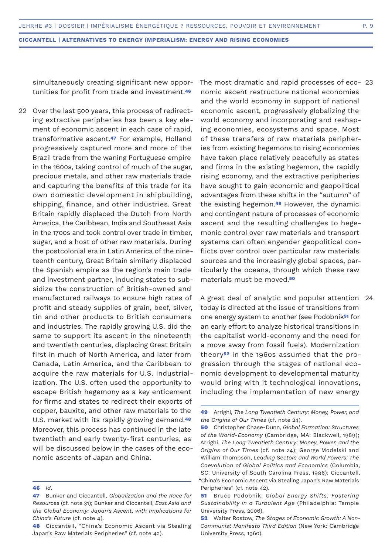simultaneously creating significant new opportunities for profit from trade and investment.**<sup>46</sup>**

Over the last 500 years, this process of redirect-22 ing extractive peripheries has been a key element of economic ascent in each case of rapid, transformative ascent.**47** For example, Holland progressively captured more and more of the Brazil trade from the waning Portuguese empire in the 1600s, taking control of much of the sugar, precious metals, and other raw materials trade and capturing the benefits of this trade for its own domestic development in shipbuilding, shipping, finance, and other industries. Great Britain rapidly displaced the Dutch from North America, the Caribbean, India and Southeast Asia in the 1700s and took control over trade in timber, sugar, and a host of other raw materials. During the postcolonial era in Latin America of the nineteenth century, Great Britain similarly displaced the Spanish empire as the region's main trade and investment partner, inducing states to subsidize the construction of British-owned and manufactured railways to ensure high rates of profit and steady supplies of grain, beef, silver, tin and other products to British consumers and industries. The rapidly growing U.S. did the same to support its ascent in the nineteenth and twentieth centuries, displacing Great Britain first in much of North America, and later from Canada, Latin America, and the Caribbean to acquire the raw materials for U.S. industrialization. The U.S. often used the opportunity to escape British hegemony as a key enticement for firms and states to redirect their exports of copper, bauxite, and other raw materials to the U.S. market with its rapidly growing demand.**<sup>48</sup>** Moreover, this process has continued in the late twentieth and early twenty-first centuries, as will be discussed below in the cases of the economic ascents of Japan and China.

The most dramatic and rapid processes of eco-23 nomic ascent restructure national economies and the world economy in support of national economic ascent, progressively globalizing the world economy and incorporating and reshaping economies, ecosystems and space. Most of these transfers of raw materials peripheries from existing hegemons to rising economies have taken place relatively peacefully as states and firms in the existing hegemon, the rapidly rising economy, and the extractive peripheries have sought to gain economic and geopolitical advantages from these shifts in the "autumn" of the existing hegemon.**49** However, the dynamic and contingent nature of processes of economic ascent and the resulting challenges to hegemonic control over raw materials and transport systems can often engender geopolitical conflicts over control over particular raw materials sources and the increasingly global spaces, particularly the oceans, through which these raw materials must be moved.**<sup>50</sup>**

A great deal of analytic and popular attention 24today is directed at the issue of transitions from one energy system to another (see Podobnik**51** for an early effort to analyze historical transitions in the capitalist world-economy and the need for a move away from fossil fuels). Modernization theory**52** in the 1960s assumed that the progression through the stages of national economic development to developmental maturity would bring with it technological innovations, including the implementation of new energy

**<sup>46</sup>** *Id*.

**<sup>47</sup>** Bunker and Ciccantell, *Globalization and the Race for Resources* (cf. note 31); Bunker and Ciccantell, *East Asia and the Global Economy: Japan's Ascent, with Implications for China's Future* (cf. note 4).

**<sup>48</sup>** Ciccantell, "China's Economic Ascent via Stealing Japan's Raw Materials Peripheries" (cf. note 42).

**<sup>49</sup>** Arrighi, *The Long Twentieth Century: Money, Power, and the Origins of Our Times* (cf. note 24).

**<sup>50</sup>** Christopher Chase-Dunn, *Global Formation: Structures of the World-Economy* (Cambridge, MA: Blackwell, 1989); Arrighi, *The Long Twentieth Century: Money, Power, and the Origins of Our Times* (cf. note 24); George Modelski and William Thompson, *Leading Sectors and World Powers: The Coevolution of Global Politics and Economics* (Columbia, SC: University of South Carolina Press, 1996); Ciccantell, "China's Economic Ascent via Stealing Japan's Raw Materials Peripheries" (cf. note 42).

**<sup>51</sup>** Bruce Podobnik, *Global Energy Shifts: Fostering Sustainability in a Turbulent Age* (Philadelphia: Temple University Press, 2006).

**<sup>52</sup>** Walter Rostow, *The Stages of Economic Growth: A Non-Communist Manifesto Third Edition* (New York: Cambridge University Press, 1960).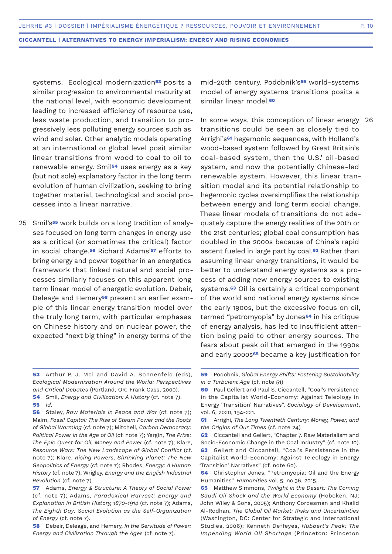systems. Ecological modernization**53** posits a similar progression to environmental maturity at the national level, with economic development leading to increased efficiency of resource use, less waste production, and transition to progressively less polluting energy sources such as wind and solar. Other analytic models operating at an international or global level posit similar linear transitions from wood to coal to oil to renewable energy. Smil**54** uses energy as a key (but not sole) explanatory factor in the long term evolution of human civilization, seeking to bring together material, technological and social processes into a linear narrative.

25 Smil's<sup>55</sup> work builds on a long tradition of analyses focused on long term changes in energy use as a critical (or sometimes the critical) factor in social change.**56** Richard Adams'**57** efforts to bring energy and power together in an energetics framework that linked natural and social processes similarly focuses on this apparent long term linear model of energetic evolution. Debeir, Deleage and Hemery**58** present an earlier example of this linear energy transition model over the truly long term, with particular emphases on Chinese history and on nuclear power, the expected "next big thing" in energy terms of the

- **57** Adams, *Energy & Structure: A Theory of Social Power* (cf. note 7); Adams, *Paradoxical Harvest: Energy and Explanation in British History, 1870-1914* (cf. note 7); Adams, *The Eighth Day: Social Evolution as the Self-Organization of Energy* (cf. note 7).
- **58** Debeir, Deleage, and Hemery, *In the Servitude of Power: Energy and Civilization Through the Ages* (cf. note 7).

mid-20th century. Podobnik's**59** world-systems model of energy systems transitions posits a similar linear model.**<sup>60</sup>**

In some ways, this conception of linear energy 26transitions could be seen as closely tied to Arrighi's**61** hegemonic sequences, with Holland's wood-based system followed by Great Britain's coal-based system, then the U.S.' oil-based system, and now the potentially Chinese-led renewable system. However, this linear transition model and its potential relationship to hegemonic cycles oversimplifies the relationship between energy and long term social change. These linear models of transitions do not adequately capture the energy realities of the 20th or the 21st centuries; global coal consumption has doubled in the 2000s because of China's rapid ascent fueled in large part by coal.**62** Rather than assuming linear energy transitions, it would be better to understand energy systems as a process of adding new energy sources to existing systems.**63** Oil is certainly a critical component of the world and national energy systems since the early 1900s, but the excessive focus on oil, termed "petromyopia" by Jones**64** in his critique of energy analysis, has led to insufficient attention being paid to other energy sources. The fears about peak oil that emerged in the 1990s and early 2000s**65** became a key justification for

**<sup>53</sup>** Arthur P. J. Mol and David A. Sonnenfeld (eds), *Ecological Modernisation Around the World: Perspectives and Critical Debates* (Portland, OR: Frank Cass, 2000).

**<sup>54</sup>** Smil, *Energy and Civilization: A History* (cf. note 7). **55** *Id*.

**<sup>56</sup>** Staley, *Raw Materials in Peace and War* (cf. note 7); Malm, *Fossil Capital: The Rise of Steam Power and the Roots of Global Warming* (cf. note 7); Mitchell, *Carbon Democracy: Political Power in the Age of Oil* (cf. note 7); Yergin, *The Prize: The Epic Quest for Oil, Money and Power* (cf. note 7); Klare, *Resource Wars: The New Landscape of Global Conflict* (cf. note 7); Klare, *Rising Powers, Shrinking Planet: The New Geopolitics of Energy* (cf. note 7); Rhodes, *Energy: A Human History* (cf. note 7); Wrigley, *Energy and the English Industrial Revolution* (cf. note 7).

**<sup>59</sup>** Podobnik, *Global Energy Shifts: Fostering Sustainability in a Turbulent Age* (cf. note 51)

**<sup>60</sup>** Paul Gellert and Paul S. Ciccantell, "Coal's Persistence in the Capitalist World-Economy: Against Teleology in Energy 'Transition' Narratives", *Sociology of Development*, vol. 6, 2020, 194-221.

**<sup>61</sup>** Arrighi, *The Long Twentieth Century: Money, Power, and the Origins of Our Times* (cf. note 24)

**<sup>62</sup>** Ciccantell and Gellert, "Chapter 7. Raw Materialism and Socio-Economic Change in the Coal Industry" (cf. note 10). **63** Gellert and Ciccantell, "Coal's Persistence in the Capitalist World-Economy: Against Teleology in Energy 'Transition' Narratives" (cf. note 60).

**<sup>64</sup>** Christopher Jones, "Petromyopia: Oil and the Energy Humanities", *Humanities* vol. 5, no.36, 2015.

**<sup>65</sup>** Matthew Simmons, *Twilight in the Desert: The Coming Saudi Oil Shock and the World Economy* (Hoboken, NJ: John Wiley & Sons, 2005); Anthony Cordesman and Khalid Al-Rodhan, *The Global Oil Market: Risks and Uncertainties* (Washington, DC: Center for Strategic and International Studies, 2006); Kenneth Deffeyes, *Hubbert's Peak: The Impending World Oil Shortage* (Princeton: Princeton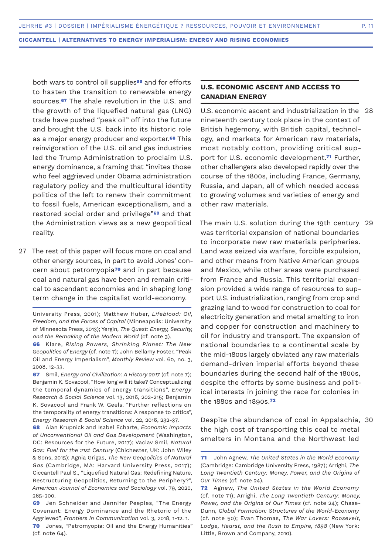both wars to control oil supplies**66** and for efforts to hasten the transition to renewable energy sources.**67** The shale revolution in the U.S. and the growth of the liquefied natural gas (LNG) trade have pushed "peak oil" off into the future and brought the U.S. back into its historic role as a major energy producer and exporter.**68** This reinvigoration of the U.S. oil and gas industries led the Trump Administration to proclaim U.S. energy dominance, a framing that "invites those who feel aggrieved under Obama administration regulatory policy and the multicultural identity politics of the left to renew their commitment to fossil fuels, American exceptionalism, and a restored social order and privilege"**69** and that the Administration views as a new geopolitical reality.

27 The rest of this paper will focus more on coal and other energy sources, in part to avoid Jones' concern about petromyopia**70** and in part because coal and natural gas have been and remain critical to ascendant economies and in shaping long term change in the capitalist world-economy.

# **U.S. ECONOMIC ASCENT AND ACCESS TO CANADIAN ENERGY**

U.S. economic ascent and industrialization in the nineteenth century took place in the context of British hegemony, with British capital, technology, and markets for American raw materials, most notably cotton, providing critical support for U.S. economic development.**71** Further, other challengers also developed rapidly over the course of the 1800s, including France, Germany, Russia, and Japan, all of which needed access to growing volumes and varieties of energy and other raw materials. 28

The main U.S. solution during the 19th century 29 was territorial expansion of national boundaries to incorporate new raw materials peripheries. Land was seized via warfare, forcible expulsion, and other means from Native American groups and Mexico, while other areas were purchased from France and Russia. This territorial expansion provided a wide range of resources to support U.S. industrialization, ranging from crop and grazing land to wood for construction to coal for electricity generation and metal smelting to iron and copper for construction and machinery to oil for industry and transport. The expansion of national boundaries to a continental scale by the mid-1800s largely obviated any raw materials demand-driven imperial efforts beyond these boundaries during the second half of the 1800s, despite the efforts by some business and political interests in joining the race for colonies in the 1880s and 1890s.**<sup>72</sup>**

Despite the abundance of coal in Appalachia, 30the high cost of transporting this coal to metal smelters in Montana and the Northwest led

University Press, 2001); Matthew Huber, *Lifeblood: Oil, Freedom, and the Forces of Capital* (Minneapolis: University of Minnesota Press, 2013); Yergin, *The Quest: Energy, Security, and the Remaking of the Modern World* (cf. note 3).

**<sup>66</sup>** Klare, *Rising Powers, Shrinking Planet: The New Geopolitics of Energy* (cf. note 7); John Bellamy Foster, "Peak Oil and Energy Imperialism", *Monthly Review* vol. 60, no. 3, 2008, 12-33.

**<sup>67</sup>** Smil, *Energy and Civilization: A History 2017* (cf. note 7); Benjamin K. Sovacool, "How long will it take? Conceptualizing the temporal dynamics of energy transitions", *Energy Research & Social Science* vol. 13, 2016, 202-215; Benjamin K. Sovacool and Frank W. Geels. "Further reflections on the temporality of energy transitions: A response to critics", *Energy Research & Social Science* vol. 22, 2016, 232-37.

**<sup>68</sup>** Alan Krupnick and Isabel Echarte, *Economic Impacts of Unconventional Oil and Gas Development* (Washington, DC: Resources for the Future, 2017); Vaclav Smil, *Natural Gas: Fuel for the 21st Century* (Chichester, UK: John Wiley & Sons, 2015); Agnia Grigas, *The New Geopolitics of Natural Gas* (Cambridge, MA: Harvard University Press, 2017); Ciccantell Paul S., "Liquefied Natural Gas: Redefining Nature, Restructuring Geopolitics, Returning to the Periphery?", *American Journal of Economics and Sociology* vol. 79, 2020, 265-300.

**<sup>69</sup>** Jen Schneider and Jennifer Peeples, "The Energy Covenant: Energy Dominance and the Rhetoric of the Aggrieved", *Frontiers in Communication* vol. 3, 2018, 1-12. 1. **70** Jones, "Petromyopia: Oil and the Energy Humanities" (cf. note 64).

**<sup>71</sup>** John Agnew, *The United States in the World Economy*  (Cambridge: Cambridge University Press, 1987); Arrighi, *The Long Twentieth Century: Money, Power, and the Origins of Our Times* (cf. note 24).

**<sup>72</sup>** Agnew, *The United States in the World Economy* (cf. note 71); Arrighi, *The Long Twentieth Century: Money, Power, and the Origins of Our Times* (cf. note 24); Chase-Dunn, *Global Formation: Structures of the World-Economy* (cf. note 50); Evan Thomas, *The War Lovers: Roosevelt, Lodge, Hearst, and the Rush to Empire, 1898* (New York: Little, Brown and Company, 2010).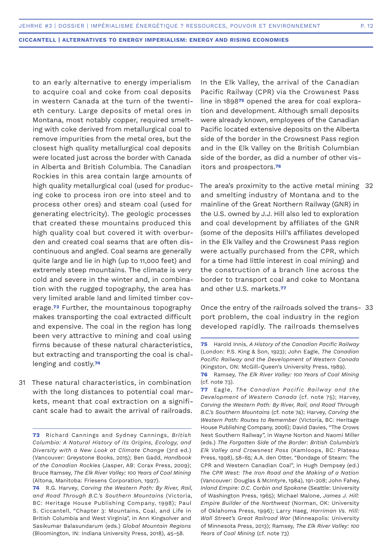to an early alternative to energy imperialism to acquire coal and coke from coal deposits in western Canada at the turn of the twentieth century. Large deposits of metal ores in Montana, most notably copper, required smelting with coke derived from metallurgical coal to remove impurities from the metal ores, but the closest high quality metallurgical coal deposits were located just across the border with Canada in Alberta and British Columbia. The Canadian Rockies in this area contain large amounts of high quality metallurgical coal (used for producing coke to process iron ore into steel and to process other ores) and steam coal (used for generating electricity). The geologic processes that created these mountains produced this high quality coal but covered it with overburden and created coal seams that are often discontinuous and angled. Coal seams are generally quite large and lie in high (up to 11,000 feet) and extremely steep mountains. The climate is very cold and severe in the winter and, in combination with the rugged topography, the area has very limited arable land and limited timber coverage.**73** Further, the mountainous topography makes transporting the coal extracted difficult and expensive. The coal in the region has long been very attractive to mining and coal using firms because of these natural characteristics, but extracting and transporting the coal is challenging and costly.**<sup>74</sup>**

These natural characteristics, in combination with the long distances to potential coal markets, meant that coal extraction on a significant scale had to await the arrival of railroads. 31

In the Elk Valley, the arrival of the Canadian Pacific Railway (CPR) via the Crowsnest Pass line in 1898**75** opened the area for coal exploration and development. Although small deposits were already known, employees of the Canadian Pacific located extensive deposits on the Alberta side of the border in the Crowsnest Pass region and in the Elk Valley on the British Columbian side of the border, as did a number of other visitors and prospectors.**<sup>76</sup>**

The area's proximity to the active metal mining 32 and smelting industry of Montana and to the mainline of the Great Northern Railway (GNR) in the U.S. owned by J.J. Hill also led to exploration and coal development by affiliates of the GNR (some of the deposits Hill's affiliates developed in the Elk Valley and the Crowsnest Pass region were actually purchased from the CPR, which for a time had little interest in coal mining) and the construction of a branch line across the border to transport coal and coke to Montana and other U.S. markets.**<sup>77</sup>**

Once the entry of the railroads solved the trans-33port problem, the coal industry in the region developed rapidly. The railroads themselves

**<sup>73</sup>** Richard Cannings and Sydney Cannings, *British Columbia: A Natural History of its Origins, Ecology, and Diversity with a New Look at Climate Change* (3rd ed.) (Vancouver: Greystone Books, 2015); Ben Gadd, *Handbook of the Canadian Rockies* (Jasper, AB: Corax Press, 2009); Bruce Ramsey, *The Elk River Valley: 100 Years of Coal Mining*  (Altona, Manitoba: Friesens Corporation, 1997).

**<sup>74</sup>** R.G. Harvey, *Carving the Western Path: By River, Rail, and Road Through B.C.'s Southern Mountains* (Victoria, BC: Heritage House Publishing Company, 1998); Paul S. Ciccantell, "Chapter 3: Mountains, Coal, and Life in British Columbia and West Virginia", in Ann Kingsolver and Sasikumar Balasundarum (eds.) *Global Mountain Regions* (Bloomington, IN: Indiana University Press, 2018), 45-58.

**<sup>75</sup>** Harold Innis, *A History of the Canadian Pacific Railway*  (London: P.S. King & Son, 1923); John Eagle, *The Canadian Pacific Railway and the Development of Western Canada*  (Kingston, ON: McGill-Queen's University Press, 1989).

**<sup>76</sup>** Ramsey, *The Elk River Valley: 100 Years of Coal Mining*  (cf. note 73).

**<sup>77</sup>** Eagle, *The Canadian Pacific Railway and the Development of Western Canada* (cf. note 75); Harvey, *Carving the Western Path: By River, Rail, and Road Through B.C.'s Southern Mountains* (cf. note 74); Harvey, *Carving the Western Path: Routes to Remember* (Victoria, BC: Heritage House Publishing Company, 2006); David Davies, "The Crows Nest Southern Railway", in Wayne Norton and Naomi Miller (eds.) *The Forgotten Side of the Border: British Columbia's Elk Valley and Crowsnest Pass* (Kamloops, BC: Plateau Press, 1998), 58-65; A.A. den Otter, "Bondage of Steam: The CPR and Western Canadian Coal", in Hugh Dempsey (ed.) *The CPR West: The Iron Road and the Making of a Nation* (Vancouver: Douglas & McIntyre, 1984), 191-208; John Fahey, *Inland Empire: D.C. Corbin and Spokane* (Seattle: University of Washington Press, 1965); Michael Malone, *James J. Hill: Empire Builder of the Northwest* (Norman, OK: University of Oklahoma Press, 1996); Larry Haeg, *Harriman Vs. Hill: Wall Street's Great Railroad War* (Minneapolis: University of Minnesota Press, 2013); Ramsey, *The Elk River Valley: 100 Years of Coal Mining* (cf. note 73)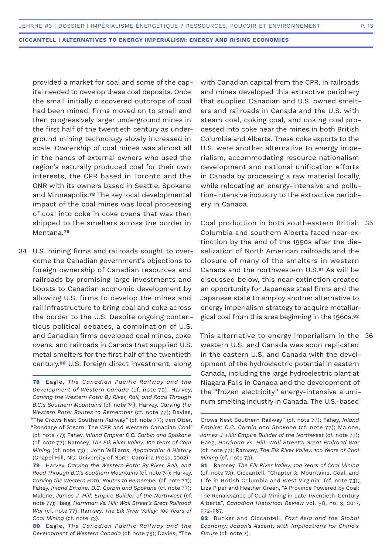provided a market for coal and some of the capital needed to develop these coal deposits. Once the small initially discovered outcrops of coal had been mined, firms moved on to small and then progressively larger underground mines in the first half of the twentieth century as underground mining technology slowly increased in scale. Ownership of coal mines was almost all in the hands of external owners who used the region's naturally produced coal for their own interests, the CPR based in Toronto and the GNR with its owners based in Seattle, Spokane and Minneapolis.**78** The key local developmental impact of the coal mines was local processing of coal into coke in coke ovens that was then shipped to the smelters across the border in Montana.**<sup>79</sup>**

U.S. mining firms and railroads sought to over-34 come the Canadian government's objections to foreign ownership of Canadian resources and railroads by promising large investments and boosts to Canadian economic development by allowing U.S. firms to develop the mines and rail infrastructure to bring coal and coke across the border to the U.S. Despite ongoing contentious political debates, a combination of U.S. and Canadian firms developed coal mines, coke ovens, and railroads in Canada that supplied U.S. metal smelters for the first half of the twentieth century.**80** U.S. foreign direct investment, along

**78** Eagle, *The Canadian Pacific Railway and the Development of Western Canada* (cf. note 75); Harvey, *Carving the Western Path: By River, Rail, and Road Through B.C.'s Southern Mountains* (cf. note 74); Harvey, *Carving the Western Path: Routes to Remember* (cf. note 77); Davies, "The Crows Nest Southern Railway" (cf. note 77); den Otter, "Bondage of Steam: The CPR and Western Canadian Coal" (cf. note 77); Fahey, *Inland Empire: D.C. Corbin and Spokane*  (cf. note 77); Ramsey, *The Elk River Valley: 100 Years of Coal Mining* (cf. note 73) ; John Williams, *Appalachia: A History*  (Chapel Hill, NC: University of North Carolina Press, 2002)

**79** Harvey, *Carving the Western Path: By River, Rail, and Road Through B.C.'s Southern Mountains* (cf. note 74); Harvey, *Carving the Western Path: Routes to Remember* (cf. note 77); Fahey, *Inland Empire: D.C. Corbin and Spokane* (cf. note 77); Malone, *James J. Hill: Empire Builder of the Northwest* (cf. note 77); Haeg, *Harriman Vs. Hill: Wall Street's Great Railroad War* (cf. note 77); Ramsey, *The Elk River Valley: 100 Years of Coal Mining* (cf. note 73).

**80** Eagle, *The Canadian Pacific Railway and the Development of Western Canada* (cf. note 75); Davies, "The with Canadian capital from the CPR, in railroads and mines developed this extractive periphery that supplied Canadian and U.S. owned smelters and railroads in Canada and the U.S. with steam coal, coking coal, and coking coal processed into coke near the mines in both British Columbia and Alberta. These coke exports to the U.S. were another alternative to energy imperialism, accommodating resource nationalism development and national unification efforts in Canada by processing a raw material locally, while relocating an energy-intensive and pollution-intensive industry to the extractive periphery in Canada.

Coal production in both southeastern British 35 Columbia and southern Alberta faced near-extinction by the end of the 1950s after the dieselization of North American railroads and the closure of many of the smelters in western Canada and the northwestern U.S.**81** As will be discussed below, this near-extinction created an opportunity for Japanese steel firms and the Japanese state to employ another alternative to energy imperialism strategy to acquire metallurgical coal from this area beginning in the 1960s.**<sup>82</sup>**

This alternative to energy imperialism in the 36western U.S. and Canada was soon replicated in the eastern U.S. and Canada with the development of the hydroelectric potential in eastern Canada, including the large hydroelectric plant at Niagara Falls in Canada and the development of the "frozen electricity" energy-intensive aluminum smelting industry in Canada. The U.S.-based

Crows Nest Southern Railway" (cf. note 77); Fahey, *Inland Empire: D.C. Corbin and Spokane* (cf. note 77); Malone, *James J. Hill: Empire Builder of the Northwest* (cf. note 77); Haeg, *Harriman Vs. Hill: Wall Street's Great Railroad War* (cf. note 77); Ramsey, *The Elk River Valley: 100 Years of Coal Mining* (cf. note 73).

**<sup>81</sup>** Ramsey, *The Elk River Valley: 100 Years of Coal Mining*  (cf. note 73); Ciccantell, "Chapter 3: Mountains, Coal, and Life in British Columbia and West Virginia" (cf. note 73); Liza Piper and Heather Green, "A Province Powered by Coal: The Renaissance of Coal Mining in Late Twentieth-Century Alberta", *Canadian Historical Review* vol. 98, no. 3, 2017, 532-567.

**<sup>82</sup>** Bunker and Ciccantell, *East Asia and the Global Economy: Japan's Ascent, with Implications for China's Future* (cf. note 7).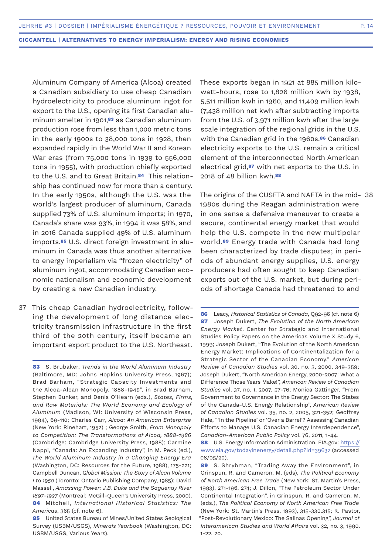Aluminum Company of America (Alcoa) created a Canadian subsidiary to use cheap Canadian hydroelectricity to produce aluminum ingot for export to the U.S., opening its first Canadian aluminum smelter in 1901,**83** as Canadian aluminum production rose from less than 1,000 metric tons in the early 1900s to 38,000 tons in 1928, then expanded rapidly in the World War II and Korean War eras (from 75,000 tons in 1939 to 556,000 tons in 1955), with production chiefly exported to the U.S. and to Great Britain.**84** This relationship has continued now for more than a century. In the early 1950s, although the U.S. was the world's largest producer of aluminum, Canada supplied 73% of U.S. aluminum imports; in 1970, Canada's share was 93%, in 1994 it was 58%, and in 2016 Canada supplied 49% of U.S. aluminum imports.**85** U.S. direct foreign investment in aluminum in Canada was thus another alternative to energy imperialism via "frozen electricity" of aluminum ingot, accommodating Canadian economic nationalism and economic development by creating a new Canadian industry.

37 This cheap Canadian hydroelectricity, following the development of long distance electricity transmission infrastructure in the first third of the 20th century, itself became an important export product to the U.S. Northeast.

**83** S. Brubaker, *Trends in the World Aluminum Industry* (Baltimore, MD: Johns Hopkins University Press, 1967); Brad Barham, "Strategic Capacity Investments and the Alcoa-Alcan Monopoly, 1888-1945", in Brad Barham, Stephen Bunker, and Denis O'Hearn (eds.), *States, Firms, and Raw Materials: The World Economy and Ecology of Aluminum* (Madison, WI: University of Wisconsin Press, 1994), 69-110; Charles Carr, *Alcoa: An American Enterprise*  (New York: Rinehart, 1952) ; George Smith, *From Monopoly to Competition: The Transformations of Alcoa, 1888-1986*  (Cambridge: Cambridge University Press, 1988); Carmine Nappi, "Canada: An Expanding Industry", in M. Peck (ed.), *The World Aluminum Industry in a Changing Energy Era* (Washington, DC: Resources for the Future, 1988), 175-221; Campbell Duncan, *Global Mission: The Story of Alcan Volume I to 1950* (Toronto: Ontario Publishing Company, 1985); David Massell, *Amassing Power: J.B. Duke and the Saguenay River 1897-1927* (Montreal: McGill-Queen's University Press, 2000). **84** Mitchell, *International Historical Statistics: The Americas*, 365 (cf. note 6).

**85** United States Bureau of Mines/United States Geological Survey (USBM/USGS), *Minerals Yearbook* (Washington, DC: USBM/USGS, Various Years).

These exports began in 1921 at 885 million kilowatt-hours, rose to 1,826 million kwh by 1938, 5,511 million kwh in 1960, and 11,409 million kwh (7,438 million net kwh after subtracting imports from the U.S. of 3,971 million kwh after the large scale integration of the regional grids in the U.S. with the Canadian grid in the 1960s.**86** Canadian electricity exports to the U.S. remain a critical element of the interconnected North American electrical grid,**87** with net exports to the U.S. in 2018 of 48 billion kwh.**<sup>88</sup>**

The origins of the CUSFTA and NAFTA in the mid-381980s during the Reagan administration were in one sense a defensive maneuver to create a secure, continental energy market that would help the U.S. compete in the new multipolar world.**89** Energy trade with Canada had long been characterized by trade disputes; in periods of abundant energy supplies, U.S. energy producers had often sought to keep Canadian exports out of the U.S. market, but during periods of shortage Canada had threatened to and

**86** Leacy, *Historical Statistics of Canada*, Q92-96 (cf. note 6) **87** Joseph Dukert, *The Evolution of the North American Energy Market*. Center for Strategic and International Studies Policy Papers on the Americas Volume X Study 6, 1999; Joseph Dukert, "The Evolution of the North American Energy Market: Implications of Continentalization for a Strategic Sector of the Canadian Economy." *American Review of Canadian Studies* vol. 30, no. 3, 2000, 349-359; Joseph Dukert, "North American Energy, 2000-2007: What a Difference Those Years Make!", *American Review of Canadian Studies* vol. 37, no. 1, 2007, 57-76; Monica Gattinger, "From Government to Governance in the Energy Sector: The States of the Canada-U.S. Energy Relationship", *American Review of Canadian Studies* vol. 35, no. 2, 2005, 321-352; Geoffrey Hale, "'In the Pipeline' or 'Over a Barrel'? Assessing Canadian Efforts to Manage U.S. Canadian Energy Interdependence", *Canadian-American Public Policy* vol. 76, 2011, 1-44.

**88** U.S. Energy Information Administration, EIA.gov: https:// www.eia.gov/todayinenergy/detail.php?id=39632 (accessed 08/05/20).

**89** S. Shrybman, "Trading Away the Environment", in Grinspun, R. and Cameron, M. (eds), *The Political Economy of North American Free Trade* (New York: St. Martin's Press, 1993), 271-196. 274; J. Dillon, "The Petroleum Sector Under Continental Integration", in Grinspun, R. and Cameron, M. (eds.), *The Political Economy of North American Free Trade* (New York: St. Martin's Press, 1993), 315-330.315; R. Pastor, "Post-Revolutionary Mexico: The Salinas Opening", *Journal of Interamerican Studies and World Affairs* vol. 32, no. 3, 1990. 1-22. 20.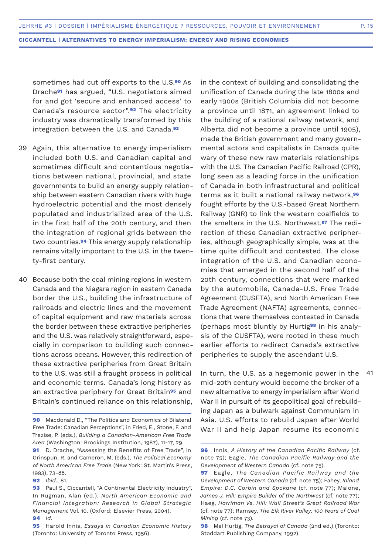sometimes had cut off exports to the U.S.**90** As Drache**91** has argued, "U.S. negotiators aimed for and got 'secure and enhanced access' to Canada's resource sector".**92** The electricity industry was dramatically transformed by this integration between the U.S. and Canada.**<sup>93</sup>**

- 39 Again, this alternative to energy imperialism included both U.S. and Canadian capital and sometimes difficult and contentious negotiations between national, provincial, and state governments to build an energy supply relationship between eastern Canadian rivers with huge hydroelectric potential and the most densely populated and industrialized area of the U.S. in the first half of the 20th century, and then the integration of regional grids between the two countries.**94** This energy supply relationship remains vitally important to the U.S. in the twenty-first century.
- 40 Because both the coal mining regions in western Canada and the Niagara region in eastern Canada border the U.S., building the infrastructure of railroads and electric lines and the movement of capital equipment and raw materials across the border between these extractive peripheries and the U.S. was relatively straightforward, especially in comparison to building such connections across oceans. However, this redirection of these extractive peripheries from Great Britain to the U.S. was still a fraught process in political and economic terms. Canada's long history as an extractive periphery for Great Britain**95** and Britain's continued reliance on this relationship,

- **94** *Id*.
- **95** Harold Innis, *Essays in Canadian Economic History*  (Toronto: University of Toronto Press, 1956).

in the context of building and consolidating the unification of Canada during the late 1800s and early 1900s (British Columbia did not become a province until 1871, an agreement linked to the building of a national railway network, and Alberta did not become a province until 1905), made the British government and many governmental actors and capitalists in Canada quite wary of these new raw materials relationships with the U.S. The Canadian Pacific Railroad (CPR), long seen as a leading force in the unification of Canada in both infrastructural and political terms as it built a national railway network,**<sup>96</sup>** fought efforts by the U.S.-based Great Northern Railway (GNR) to link the western coalfields to the smelters in the U.S. Northwest.**97** The redirection of these Canadian extractive peripheries, although geographically simple, was at the time quite difficult and contested. The close integration of the U.S. and Canadian economies that emerged in the second half of the 20th century, connections that were marked by the automobile, Canada-U.S. Free Trade Agreement (CUSFTA), and North American Free Trade Agreement (NAFTA) agreements, connections that were themselves contested in Canada (perhaps most bluntly by Hurtig**98** in his analysis of the CUSFTA), were rooted in these much earlier efforts to redirect Canada's extractive peripheries to supply the ascendant U.S.

In turn, the U.S. as a hegemonic power in the 41mid-20th century would become the broker of a new alternative to energy imperialism after World War II in pursuit of its geopolitical goal of rebuilding Japan as a bulwark against Communism in Asia. U.S. efforts to rebuild Japan after World War II and help Japan resume its economic

**<sup>90</sup>** Macdonald D., "The Politics and Economics of Bilateral Free Trade: Canadian Perceptions", in Fried, E., Stone, F. and Trezise, P. (eds.), *Building a Canadian-American Free Trade Area* (Washington: Brookings Institution, 1987), 11-17, 29.

**<sup>91</sup>** D. Drache, "Assessing the Benefits of Free Trade", in Grinspun, R. and Cameron, M. (eds.), *The Political Economy of North American Free Trade* (New York: St. Martin's Press, 1993), 73-88.

**<sup>92</sup>** *Ibid*., 81.

<sup>93</sup> Paul S., Ciccantell, "A Continental Electricity Industry", In Rugman, Alan (ed.), *North American Economic and Financial Integration: Research in Global Strategic Management* Vol. 10. (Oxford: Elsevier Press, 2004).

**<sup>96</sup>** Innis, *A History of the Canadian Pacific Railway* (cf. note 75); Eagle, *The Canadian Pacific Railway and the Development of Western Canada* (cf. note 75).

**<sup>97</sup>** Eagle, *The Canadian Pacific Railway and the Development of Western Canada* (cf. note 75); Fahey, *Inland Empire: D.C. Corbin and Spokane* (cf. note 77); Malone, *James J. Hill: Empire Builder of the Northwest* (cf. note 77); Haeg, *Harriman Vs. Hill: Wall Street's Great Railroad War* (cf. note 77); Ramsey, *The Elk River Valley: 100 Years of Coal Mining* (cf. note 73).

**<sup>98</sup>** Mel Hurtig, *The Betrayal of Canada* (2nd ed.) (Toronto: Stoddart Publishing Company, 1992).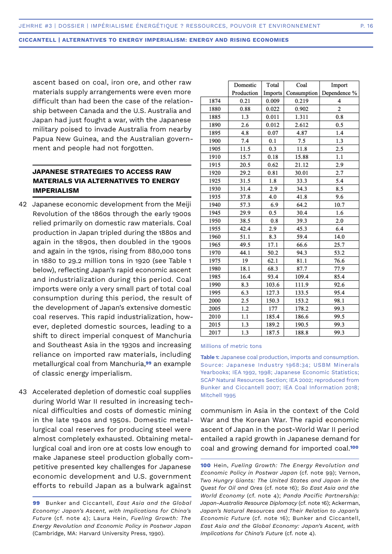ascent based on coal, iron ore, and other raw materials supply arrangements were even more difficult than had been the case of the relationship between Canada and the U.S. Australia and Japan had just fought a war, with the Japanese military poised to invade Australia from nearby Papua New Guinea, and the Australian government and people had not forgotten.

# **JAPANESE STRATEGIES TO ACCESS RAW MATERIALS VIA ALTERNATIVES TO ENERGY IMPERIALISM**

- 42 Japanese economic development from the Meiji Revolution of the 1860s through the early 1900s relied primarily on domestic raw materials. Coal production in Japan tripled during the 1880s and again in the 1890s, then doubled in the 1900s and again in the 1910s, rising from 880,000 tons in 1880 to 29.2 million tons in 1920 (see Table 1 below), reflecting Japan's rapid economic ascent and industrialization during this period. Coal imports were only a very small part of total coal consumption during this period, the result of the development of Japan's extensive domestic coal reserves. This rapid industrialization, however, depleted domestic sources, leading to a shift to direct imperial conquest of Manchuria and Southeast Asia in the 1930s and increasing reliance on imported raw materials, including metallurgical coal from Manchuria,**99** an example of classic energy imperialism.
- Accelerated depletion of domestic coal supplies 43during World War II resulted in increasing technical difficulties and costs of domestic mining in the late 1940s and 1950s. Domestic metallurgical coal reserves for producing steel were almost completely exhausted. Obtaining metallurgical coal and iron ore at costs low enough to make Japanese steel production globally competitive presented key challenges for Japanese economic development and U.S. government efforts to rebuild Japan as a bulwark against

**99** Bunker and Ciccantell, *East Asia and the Global Economy: Japan's Ascent, with Implications for China's Future* (cf. note 4); Laura Hein, *Fueling Growth: The Energy Revolution and Economic Policy in Postwar Japan*  (Cambridge, MA: Harvard University Press, 1990).

|      | Domestic   | Total   | Coal        | Import         |
|------|------------|---------|-------------|----------------|
|      | Production | Imports | Consumption | Dependence %   |
| 1874 | 0.21       | 0.009   | 0.219       | 4              |
| 1880 | 0.88       | 0.022   | 0.902       | $\overline{2}$ |
| 1885 | 1.3        | 0.011   | 1.311       | 0.8            |
| 1890 | 2.6        | 0.012   | 2.612       | 0.5            |
| 1895 | 4.8        | 0.07    | 4.87        | 1.4            |
| 1900 | 7.4        | 0.1     | 7.5         | 1.3            |
| 1905 | 11.5       | 0.3     | 11.8        | 2.5            |
| 1910 | 15.7       | 0.18    | 15.88       | 1.1            |
| 1915 | 20.5       | 0.62    | 21.12       | 2.9            |
| 1920 | 29.2       | 0.81    | 30.01       | 2.7            |
| 1925 | 31.5       | 1.8     | 33.3        | 5.4            |
| 1930 | 31.4       | 2.9     | 34.3        | 8.5            |
| 1935 | 37.8       | 4.0     | 41.8        | 9.6            |
| 1940 | 57.3       | 6.9     | 64.2        | 10.7           |
| 1945 | 29.9       | 0.5     | 30.4        | 1.6            |
| 1950 | 38.5       | 0.8     | 39.3        | 2.0            |
| 1955 | 42.4       | 2.9     | 45.3        | 6.4            |
| 1960 | 51.1       | 8.3     | 59.4        | 14.0           |
| 1965 | 49.5       | 17.1    | 66.6        | 25.7           |
| 1970 | 44.1       | 50.2    | 94.3        | 53.2           |
| 1975 | 19         | 62.1    | 81.1        | 76.6           |
| 1980 | 18.1       | 68.3    | 87.7        | 77.9           |
| 1985 | 16.4       | 93.4    | 109.4       | 85.4           |
| 1990 | 8.3        | 103.6   | 111.9       | 92.6           |
| 1995 | 6.3        | 127.3   | 133.5       | 95.4           |
| 2000 | 2.5        | 150.3   | 153.2       | 98.1           |
| 2005 | 1.2        | 177     | 178.2       | 99.3           |
| 2010 | 1.1        | 185.4   | 186.6       | 99.5           |
| 2015 | 1.3        | 189.2   | 190.5       | 99.3           |
| 2017 | 13         | 1875    | 1888        | 993            |

### Millions of metric tons

**Table 1:** Japanese coal production, imports and consumption. Source: Japanese Industry 1968:34; USBM Minerals Yearbooks; IEA 1992, 1998; Japanese Economic Statistics; SCAP Natural Resources Section; IEA 2002; reproduced from Bunker and Ciccantell 2007; IEA Coal Information 2018; Mitchell 1995

communism in Asia in the context of the Cold War and the Korean War. The rapid economic ascent of Japan in the post-World War II period entailed a rapid growth in Japanese demand for coal and growing demand for imported coal.**<sup>100</sup>**

**100** Hein, *Fueling Growth: The Energy Revolution and Economic Policy in Postwar Japan* (cf. note 99); Vernon, *Two Hungry Giants: The United States and Japan in the Quest for Oil and Ores* (cf. note 16); *So East Asia and the World Economy* (cf. note 4); *Panda Pacific Partnership: Japan-Australia Resource Diplomacy* (cf. note 16); Ackerman, *Japan's Natural Resources and Their Relation to Japan's Economic Future* (cf. note 16); Bunker and Ciccantell, *East Asia and the Global Economy: Japan's Ascent, with Implications for China's Future* (cf. note 4).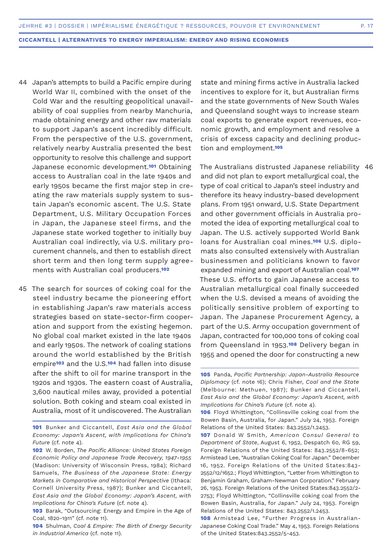- Japan's attempts to build a Pacific empire during 44 World War II, combined with the onset of the Cold War and the resulting geopolitical unavailability of coal supplies from nearby Manchuria, made obtaining energy and other raw materials to support Japan's ascent incredibly difficult. From the perspective of the U.S. government, relatively nearby Australia presented the best opportunity to resolve this challenge and support Japanese economic development.**101** Obtaining access to Australian coal in the late 1940s and early 1950s became the first major step in creating the raw materials supply system to sustain Japan's economic ascent. The U.S. State Department, U.S. Military Occupation Forces in Japan, the Japanese steel firms, and the Japanese state worked together to initially buy Australian coal indirectly, via U.S. military procurement channels, and then to establish direct short term and then long term supply agreements with Australian coal producers.**<sup>102</sup>**
- 45 The search for sources of coking coal for the steel industry became the pioneering effort in establishing Japan's raw materials access strategies based on state-sector-firm cooperation and support from the existing hegemon. No global coal market existed in the late 1940s and early 1950s. The network of coaling stations around the world established by the British empire**103** and the U.S.**104** had fallen into disuse after the shift to oil for marine transport in the 1920s and 1930s. The eastern coast of Australia, 3,600 nautical miles away, provided a potential solution. Both coking and steam coal existed in Australia, most of it undiscovered. The Australian

**104** Shulman, *Coal & Empire: The Birth of Energy Security in Industrial America* (cf. note 11).

state and mining firms active in Australia lacked incentives to explore for it, but Australian firms and the state governments of New South Wales and Queensland sought ways to increase steam coal exports to generate export revenues, economic growth, and employment and resolve a crisis of excess capacity and declining production and employment.**<sup>105</sup>**

The Australians distrusted Japanese reliability 46and did not plan to export metallurgical coal, the type of coal critical to Japan's steel industry and therefore its heavy industry-based development plans. From 1951 onward, U.S. State Department and other government officials in Australia promoted the idea of exporting metallurgical coal to Japan. The U.S. actively supported World Bank loans for Australian coal mines.**106** U.S. diplomats also consulted extensively with Australian businessmen and politicians known to favor expanded mining and export of Australian coal.**<sup>107</sup>** These U.S. efforts to gain Japanese access to Australian metallurgical coal finally succeeded when the U.S. devised a means of avoiding the politically sensitive problem of exporting to Japan. The Japanese Procurement Agency, a part of the U.S. Army occupation government of Japan, contracted for 100,000 tons of coking coal from Queensland in 1953.**108** Delivery began in 1955 and opened the door for constructing a new

**107** Donald W Smith, *American Consul General to Department of State*, August 6, 1952, Despatch 60, RG 59, Foreign Relations of the United States: 843.2552/8-652; Armistead Lee, "Australian Coking Coal for Japan." December 16, 1952. Foreign Relations of the United States:843- 2552/12/1652.; Floyd Whittington, "Letter from Whittington to Benjamin Graham, Graham-Newman Corporation." February 26, 1953. Foreign Relations of the United States:843.2552/2- 2753; Floyd Whittington, "Collinsville coking coal from the Bowen Basin, Australia, for Japan." July 24, 1953. Foreign Relations of the United States: 843.2552/1.2453.

**108** Armistead Lee, "Further Progress in Australian-Japanese Coking Coal Trade." May 4, 1953. Foreign Relations of the United States:843.2552/5-453.

**<sup>101</sup>** Bunker and Ciccantell, *East Asia and the Global Economy: Japan's Ascent, with Implications for China's Future* (cf. note 4).

**<sup>102</sup>** W. Borden, *The Pacific Alliance: United States Foreign Economic Policy and Japanese Trade Recovery, 1947-1955*  (Madison: University of Wisconsin Press, 1984); Richard Samuels, *The Business of the Japanese State: Energy Markets in Comparative and Historical Perspective* (Ithaca: Cornell University Press, 1987); Bunker and Ciccantell, *East Asia and the Global Economy: Japan's Ascent, with Implications for China's Future* (cf. note 4).

**<sup>103</sup>** Barak, "Outsourcing: Energy and Empire in the Age of Coal, 1820-1911" (cf. note 11).

**<sup>105</sup>** Panda, *Pacific Partnership: Japan-Australia Resource Diplomacy* (cf. note 16); Chris Fisher, *Coal and the State*  (Melbourne: Methuen, 1987); Bunker and Ciccantell, *East Asia and the Global Economy: Japan's Ascent, with Implications for China's Future* (cf. note 4).

**<sup>106</sup>** Floyd Whittington, "Collinsville coking coal from the Bowen Basin, Australia, for Japan." July 24, 1953. Foreign Relations of the United States: 843.2552/1.2453.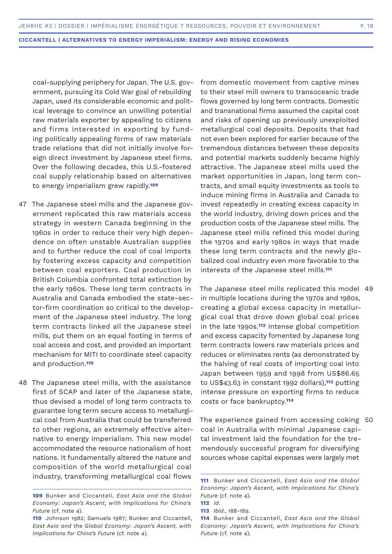coal-supplying periphery for Japan. The U.S. government, pursuing its Cold War goal of rebuilding Japan, used its considerable economic and political leverage to convince an unwilling potential raw materials exporter by appealing to citizens and firms interested in exporting by funding politically appealing forms of raw materials trade relations that did not initially involve foreign direct investment by Japanese steel firms. Over the following decades, this U.S.-fostered coal supply relationship based on alternatives to energy imperialism grew rapidly.**<sup>109</sup>**

- The Japanese steel mills and the Japanese gov-47 ernment replicated this raw materials access strategy in western Canada beginning in the 1960s in order to reduce their very high dependence on often unstable Australian supplies and to further reduce the coal of coal imports by fostering excess capacity and competition between coal exporters. Coal production in British Columbia confronted total extinction by the early 1960s. These long term contracts in Australia and Canada embodied the state-sector-firm coordination so critical to the development of the Japanese steel industry. The long term contracts linked all the Japanese steel mills, put them on an equal footing in terms of coal access and cost, and provided an important mechanism for MITI to coordinate steel capacity and production.**<sup>110</sup>**
- 48 The Japanese steel mills, with the assistance first of SCAP and later of the Japanese state, thus devised a model of long term contracts to guarantee long term secure access to metallurgical coal from Australia that could be transferred to other regions, an extremely effective alternative to energy imperialism. This new model accommodated the resource nationalism of host nations. It fundamentally altered the nature and composition of the world metallurgical coal industry, transforming metallurgical coal flows

from domestic movement from captive mines to their steel mill owners to transoceanic trade flows governed by long term contracts. Domestic and transnational firms assumed the capital cost and risks of opening up previously unexploited metallurgical coal deposits. Deposits that had not even been explored for earlier because of the tremendous distances between these deposits and potential markets suddenly became highly attractive. The Japanese steel mills used the market opportunities in Japan, long term contracts, and small equity investments as tools to induce mining firms in Australia and Canada to invest repeatedly in creating excess capacity in the world industry, driving down prices and the production costs of the Japanese steel mills. The Japanese steel mills refined this model during the 1970s and early 1980s in ways that made these long term contracts and the newly globalized coal industry even more favorable to the interests of the Japanese steel mills.**<sup>111</sup>**

The Japanese steel mills replicated this model 49 in multiple locations during the 1970s and 1980s, creating a global excess capacity in metallurgical coal that drove down global coal prices in the late 1990s.**112** Intense global competition and excess capacity fomented by Japanese long term contracts lowers raw materials prices and reduces or eliminates rents (as demonstrated by the halving of real costs of importing coal into Japan between 1959 and 1998 from US\$86.65 to US\$43.63 in constant 1992 dollars),**113** putting intense pressure on exporting firms to reduce costs or face bankruptcy.**<sup>114</sup>**

The experience gained from accessing coking 50coal in Australia with minimal Japanese capital investment laid the foundation for the tremendously successful program for diversifying sources whose capital expenses were largely met

**<sup>109</sup>** Bunker and Ciccantell, *East Asia and the Global Economy: Japan's Ascent, with Implications for China's Future* (cf. note 4).

**<sup>110</sup>** Johnson 1982; Samuels 1987; Bunker and Ciccantell, *East Asia and the Global Economy: Japan's Ascent, with Implications for China's Future* (cf. note 4).

**<sup>111</sup>** Bunker and Ciccantell, *East Asia and the Global Economy: Japan's Ascent, with Implications for China's Future* (cf. note 4).

**<sup>112</sup>** *Id*.

**<sup>113</sup>** *Ibid*., 188-189.

**<sup>114</sup>** Bunker and Ciccantell, *East Asia and the Global Economy: Japan's Ascent, with Implications for China's Future* (cf. note 4).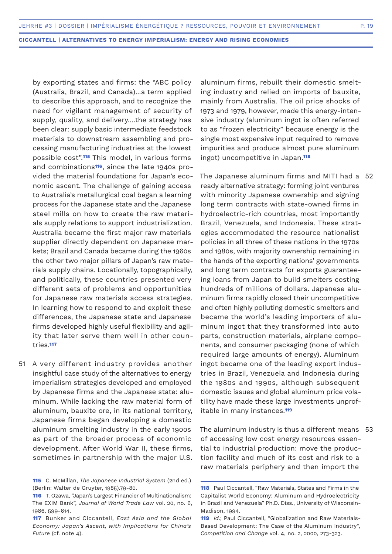by exporting states and firms: the "ABC policy (Australia, Brazil, and Canada)...a term applied to describe this approach, and to recognize the need for vigilant management of security of supply, quality, and delivery....the strategy has been clear: supply basic intermediate feedstock materials to downstream assembling and processing manufacturing industries at the lowest possible cost".**115** This model, in various forms and combinations**116**, since the late 1940s provided the material foundations for Japan's economic ascent. The challenge of gaining access to Australia's metallurgical coal began a learning process for the Japanese state and the Japanese steel mills on how to create the raw materials supply relations to support industrialization. Australia became the first major raw materials supplier directly dependent on Japanese markets; Brazil and Canada became during the 1960s the other two major pillars of Japan's raw materials supply chains. Locationally, topographically, and politically, these countries presented very different sets of problems and opportunities for Japanese raw materials access strategies. In learning how to respond to and exploit these differences, the Japanese state and Japanese firms developed highly useful flexibility and agility that later serve them well in other countries.**<sup>117</sup>**

51 A very different industry provides another insightful case study of the alternatives to energy imperialism strategies developed and employed by Japanese firms and the Japanese state: aluminum. While lacking the raw material form of aluminum, bauxite ore, in its national territory, Japanese firms began developing a domestic aluminum smelting industry in the early 1900s as part of the broader process of economic development. After World War II, these firms, sometimes in partnership with the major U.S.

aluminum firms, rebuilt their domestic smelting industry and relied on imports of bauxite, mainly from Australia. The oil price shocks of 1973 and 1979, however, made this energy-intensive industry (aluminum ingot is often referred to as "frozen electricity" because energy is the single most expensive input required to remove impurities and produce almost pure aluminum ingot) uncompetitive in Japan.**<sup>118</sup>**

The Japanese aluminum firms and MITI had a 52 ready alternative strategy: forming joint ventures with minority Japanese ownership and signing long term contracts with state-owned firms in hydroelectric-rich countries, most importantly Brazil, Venezuela, and Indonesia. These strategies accommodated the resource nationalist policies in all three of these nations in the 1970s and 1980s, with majority ownership remaining in the hands of the exporting nations' governments and long term contracts for exports guaranteeing loans from Japan to build smelters costing hundreds of millions of dollars. Japanese aluminum firms rapidly closed their uncompetitive and often highly polluting domestic smelters and became the world's leading importers of aluminum ingot that they transformed into auto parts, construction materials, airplane components, and consumer packaging (none of which required large amounts of energy). Aluminum ingot became one of the leading export industries in Brazil, Venezuela and Indonesia during the 1980s and 1990s, although subsequent domestic issues and global aluminum price volatility have made these large investments unprofitable in many instances.**<sup>119</sup>**

The aluminum industry is thus a different means 53of accessing low cost energy resources essential to industrial production: move the production facility and much of its cost and risk to a raw materials periphery and then import the

**<sup>115</sup>** C. McMillan, *The Japanese Industrial System* (2nd ed.) (Berlin: Walter de Gruyter, 1985).79-80.

**<sup>116</sup>** T. Ozawa, "Japan's Largest Financier of Multinationalism: The EXIM Bank", *Journal of World Trade Law* vol. 20, no. 6, 1986, 599-614.

**<sup>117</sup>** Bunker and Ciccantell, *East Asia and the Global Economy: Japan's Ascent, with Implications for China's Future* (cf. note 4).

**<sup>118</sup>** Paul Ciccantell, "Raw Materials, States and Firms in the Capitalist World Economy: Aluminum and Hydroelectricity in Brazil and Venezuela" Ph.D. Diss., University of Wisconsin-Madison, 1994.

**<sup>119</sup>** *Id*.; Paul Ciccantell, "Globalization and Raw Materials-Based Development: The Case of the Aluminum Industry", *Competition and Change* vol. 4, no. 2, 2000, 273-323.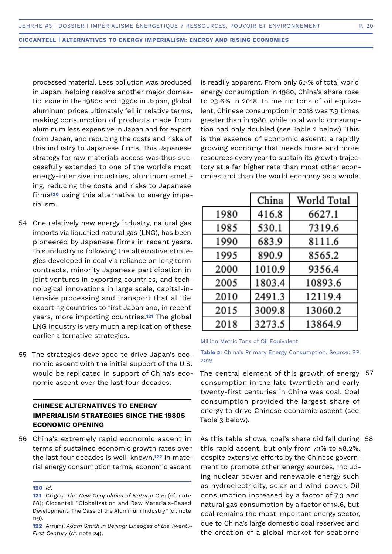processed material. Less pollution was produced in Japan, helping resolve another major domestic issue in the 1980s and 1990s in Japan, global aluminum prices ultimately fell in relative terms, making consumption of products made from aluminum less expensive in Japan and for export from Japan, and reducing the costs and risks of this industry to Japanese firms. This Japanese strategy for raw materials access was thus successfully extended to one of the world's most energy-intensive industries, aluminum smelting, reducing the costs and risks to Japanese firms<sup>120</sup> using this alternative to energy imperialism.

- One relatively new energy industry, natural gas 54 imports via liquefied natural gas (LNG), has been pioneered by Japanese firms in recent years. This industry is following the alternative strategies developed in coal via reliance on long term contracts, minority Japanese participation in joint ventures in exporting countries, and technological innovations in large scale, capital-intensive processing and transport that all tie exporting countries to first Japan and, in recent years, more importing countries.**121** The global LNG industry is very much a replication of these earlier alternative strategies.
- 55 The strategies developed to drive Japan's economic ascent with the initial support of the U.S. would be replicated in support of China's economic ascent over the last four decades.

# **CHINESE ALTERNATIVES TO ENERGY IMPERIALISM STRATEGIES SINCE THE 1980S ECONOMIC OPENING**

56 China's extremely rapid economic ascent in terms of sustained economic growth rates over the last four decades is well-known.**122** In material energy consumption terms, economic ascent

is readily apparent. From only 6.3% of total world energy consumption in 1980, China's share rose to 23.6% in 2018. In metric tons of oil equivalent, Chinese consumption in 2018 was 7.9 times greater than in 1980, while total world consumption had only doubled (see Table 2 below). This is the essence of economic ascent: a rapidly growing economy that needs more and more resources every year to sustain its growth trajectory at a far higher rate than most other economies and than the world economy as a whole.

|      | China  | World Total |
|------|--------|-------------|
| 1980 | 416.8  | 6627.1      |
| 1985 | 530.1  | 7319.6      |
| 1990 | 683.9  | 8111.6      |
| 1995 | 890.9  | 8565.2      |
| 2000 | 1010.9 | 9356.4      |
| 2005 | 1803.4 | 10893.6     |
| 2010 | 2491.3 | 12119.4     |
| 2015 | 3009.8 | 13060.2     |
| 2018 | 3273.5 | 13864.9     |

#### Million Metric Tons of Oil Equivalent

**Table 2:** China's Primary Energy Consumption. Source: BP 2019

The central element of this growth of energy 57 consumption in the late twentieth and early twenty-first centuries in China was coal. Coal consumption provided the largest share of energy to drive Chinese economic ascent (see Table 3 below).

As this table shows, coal's share did fall during 58this rapid ascent, but only from 73% to 58.2%, despite extensive efforts by the Chinese government to promote other energy sources, including nuclear power and renewable energy such as hydroelectricity, solar and wind power. Oil consumption increased by a factor of 7.3 and natural gas consumption by a factor of 19.6, but coal remains the most important energy sector, due to China's large domestic coal reserves and the creation of a global market for seaborne

**<sup>120</sup>** *Id*.

**<sup>121</sup>** Grigas, *The New Geopolitics of Natural Gas* (cf. note 68); Ciccantell "Globalization and Raw Materials-Based Development: The Case of the Aluminum Industry" (cf. note 119).

**<sup>122</sup>** Arrighi, *Adam Smith in Beijing: Lineages of the Twenty-First Century* (cf. note 24).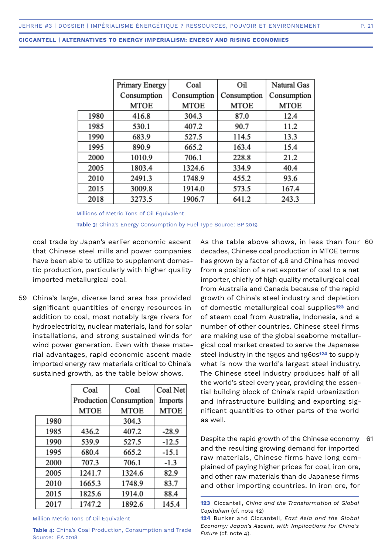|      | Primary Energy | Coal        | Oil         | Natural Gas |
|------|----------------|-------------|-------------|-------------|
|      | Consumption    | Consumption | Consumption | Consumption |
|      | MTOE           | <b>MTOE</b> | <b>MTOE</b> | <b>MTOE</b> |
| 1980 | 416.8          | 304.3       | 87.0        | 12.4        |
| 1985 | 530.1          | 407.2       | 90.7        | 11.2        |
| 1990 | 683.9          | 527.5       | 114.5       | 13.3        |
| 1995 | 890.9          | 665.2       | 163.4       | 15.4        |
| 2000 | 1010.9         | 706.1       | 228.8       | 21.2        |
| 2005 | 1803.4         | 1324.6      | 334.9       | 40.4        |
| 2010 | 2491.3         | 1748.9      | 455.2       | 93.6        |
| 2015 | 3009.8         | 1914.0      | 573.5       | 167.4       |
| 2018 | 3273.5         | 1906.7      | 641.2       | 243.3       |

Millions of Metric Tons of Oil Equivalent

**Table 3:** China's Energy Consumption by Fuel Type Source: BP 2019

coal trade by Japan's earlier economic ascent that Chinese steel mills and power companies have been able to utilize to supplement domestic production, particularly with higher quality imported metallurgical coal.

59 China's large, diverse land area has provided significant quantities of energy resources in addition to coal, most notably large rivers for hydroelectricity, nuclear materials, land for solar installations, and strong sustained winds for wind power generation. Even with these material advantages, rapid economic ascent made imported energy raw materials critical to China's sustained growth, as the table below shows.

|      | Coal   | Coal                     | Coal Net    |
|------|--------|--------------------------|-------------|
|      |        | Production   Consumption | Imports     |
|      | MTOE   | <b>MTOE</b>              | <b>MTOE</b> |
| 1980 |        | 304.3                    |             |
| 1985 | 436.2  | 407.2                    | $-28.9$     |
| 1990 | 539.9  | 527.5                    | $-12.5$     |
| 1995 | 680.4  | 665.2                    | $-15.1$     |
| 2000 | 707.3  | 706.1                    | $-1.3$      |
| 2005 | 1241.7 | 1324.6                   | 82.9        |
| 2010 | 1665.3 | 1748.9                   | 83.7        |
| 2015 | 1825.6 | 1914.0                   | 88.4        |
| 2017 | 1747.2 | 1892.6                   | 145.4       |

Million Metric Tons of Oil Equivalent

**Table 4:** China's Coal Production, Consumption and Trade Source: IEA 2018

As the table above shows, in less than four 60 decades, Chinese coal production in MTOE terms has grown by a factor of 4.6 and China has moved from a position of a net exporter of coal to a net importer, chiefly of high quality metallurgical coal from Australia and Canada because of the rapid growth of China's steel industry and depletion of domestic metallurgical coal supplies**123** and of steam coal from Australia, Indonesia, and a number of other countries. Chinese steel firms are making use of the global seaborne metallurgical coal market created to serve the Japanese steel industry in the 1950s and 1960s**124** to supply what is now the world's largest steel industry. The Chinese steel industry produces half of all the world's steel every year, providing the essential building block of China's rapid urbanization and infrastructure building and exporting significant quantities to other parts of the world as well.

Despite the rapid growth of the Chinese economy 61and the resulting growing demand for imported raw materials, Chinese firms have long complained of paying higher prices for coal, iron ore, and other raw materials than do Japanese firms and other importing countries. In iron ore, for

**<sup>123</sup>** Ciccantell, *China and the Transformation of Global Capitalism* (cf. note 42)

**<sup>124</sup>** Bunker and Ciccantell, *East Asia and the Global Economy: Japan's Ascent, with Implications for China's Future* (cf. note 4).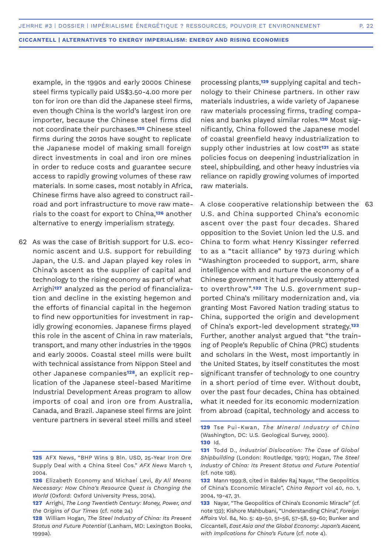example, in the 1990s and early 2000s Chinese steel firms typically paid US\$3.50-4.00 more per ton for iron ore than did the Japanese steel firms, even though China is the world's largest iron ore importer, because the Chinese steel firms did not coordinate their purchases.**125** Chinese steel firms during the 2010s have sought to replicate the Japanese model of making small foreign direct investments in coal and iron ore mines in order to reduce costs and guarantee secure access to rapidly growing volumes of these raw materials. In some cases, most notably in Africa, Chinese firms have also agreed to construct railroad and port infrastructure to move raw materials to the coast for export to China,**126** another alternative to energy imperialism strategy.

62 As was the case of British support for U.S. economic ascent and U.S. support for rebuilding Japan, the U.S. and Japan played key roles in China's ascent as the supplier of capital and technology to the rising economy as part of what Arrighi**127** analyzed as the period of financialization and decline in the existing hegemon and the efforts of financial capital in the hegemon to find new opportunities for investment in rapidly growing economies. Japanese firms played this role in the ascent of China in raw materials, transport, and many other industries in the 1990s and early 2000s. Coastal steel mills were built with technical assistance from Nippon Steel and other Japanese companies**128**, an explicit replication of the Japanese steel-based Maritime Industrial Development Areas program to allow imports of coal and iron ore from Australia, Canada, and Brazil. Japanese steel firms are joint venture partners in several steel mills and steel

processing plants,**129** supplying capital and technology to their Chinese partners. In other raw materials industries, a wide variety of Japanese raw materials processing firms, trading companies and banks played similar roles.**130** Most significantly, China followed the Japanese model of coastal greenfield heavy industrialization to supply other industries at low cost**131** as state policies focus on deepening industrialization in steel, shipbuilding, and other heavy industries via reliance on rapidly growing volumes of imported raw materials.

A close cooperative relationship between the 63U.S. and China supported China's economic ascent over the past four decades. Shared opposition to the Soviet Union led the U.S. and China to form what Henry Kissinger referred to as a "tacit alliance" by 1973 during which "Washington proceeded to support, arm, share intelligence with and nurture the economy of a Chinese government it had previously attempted to overthrow".**132** The U.S. government supported China's military modernization and, via granting Most Favored Nation trading status to China, supported the origin and development of China's export-led development strategy.**<sup>133</sup>** Further, another analyst argued that "the training of People's Republic of China (PRC) students and scholars in the West, most importantly in the United States, by itself constitutes the most significant transfer of technology to one country in a short period of time ever. Without doubt, over the past four decades, China has obtained what it needed for its economic modernization from abroad (capital, technology and access to

**<sup>125</sup>** AFX News, "BHP Wins 9 Bln. USD, 25-Year Iron Ore Supply Deal with 4 China Steel Cos." *AFX News* March 1, 2004.

**<sup>126</sup>** Elizabeth Economy and Michael Levi, *By All Means Necessary: How China's Resource Quest is Changing the World* (Oxford: Oxford University Press, 2014).

**<sup>127</sup>** Arrighi, *The Long Twentieth Century: Money, Power, and the Origins of Our Times* (cf. note 24)

**<sup>128</sup>** William Hogan, *The Steel Industry of China: Its Present Status and Future Potential* (Lanham, MD: Lexington Books, 1999a).

**<sup>129</sup>** Tse Pui-Kwan, *The Mineral Industry of China* (Washington, DC: U.S. Geological Survey, 2000). **130** Id.

**<sup>131</sup>** Todd D., *Industrial Dislocation: The Case of Global Shipbuilding* (London: Routledge, 1991); Hogan, *The Steel Industry of China: Its Present Status and Future Potential* (cf. note 128).

**<sup>132</sup>** Mann 1999:8, cited in Baldev Raj Nayar, "The Geopolitics of China's Economic Miracle", *China Report* vol 40, no. 1, 2004, 19-47, 31.

**<sup>133</sup>** Nayar, "The Geopolitics of China's Economic Miracle" (cf. note 132); Kishore Mahbubani, "Understanding China", *Foreign Affairs* Vol. 84, No. 5: 49-50, 51-56, 57-58, 59-60; Bunker and Ciccantell, *East Asia and the Global Economy: Japan's Ascent, with Implications for China's Future* (cf. note 4).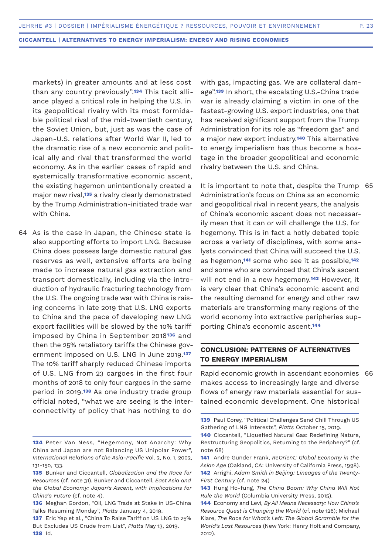markets) in greater amounts and at less cost than any country previously".**134** This tacit alliance played a critical role in helping the U.S. in its geopolitical rivalry with its most formidable political rival of the mid-twentieth century, the Soviet Union, but, just as was the case of Japan-U.S. relations after World War II, led to the dramatic rise of a new economic and political ally and rival that transformed the world economy. As in the earlier cases of rapid and systemically transformative economic ascent, the existing hegemon unintentionally created a major new rival,**135** a rivalry clearly demonstrated by the Trump Administration-initiated trade war with China.

64 As is the case in Japan, the Chinese state is also supporting efforts to import LNG. Because China does possess large domestic natural gas reserves as well, extensive efforts are being made to increase natural gas extraction and transport domestically, including via the introduction of hydraulic fracturing technology from the U.S. The ongoing trade war with China is raising concerns in late 2019 that U.S. LNG exports to China and the pace of developing new LNG export facilities will be slowed by the 10% tariff imposed by China in September 2018**136** and then the 25% retaliatory tariffs the Chinese government imposed on U.S. LNG in June 2019.**<sup>137</sup>** The 10% tariff sharply reduced Chinese imports of U.S. LNG from 23 cargoes in the first four months of 2018 to only four cargoes in the same period in 2019.**138** As one industry trade group official noted, "what we are seeing is the interconnectivity of policy that has nothing to do

with gas, impacting gas. We are collateral damage".**139** In short, the escalating U.S.-China trade war is already claiming a victim in one of the fastest-growing U.S. export industries, one that has received significant support from the Trump Administration for its role as "freedom gas" and a major new export industry.**140** This alternative to energy imperialism has thus become a hostage in the broader geopolitical and economic rivalry between the U.S. and China.

It is important to note that, despite the Trump 65 Administration's focus on China as an economic and geopolitical rival in recent years, the analysis of China's economic ascent does not necessarily mean that it can or will challenge the U.S. for hegemony. This is in fact a hotly debated topic across a variety of disciplines, with some analysts convinced that China will succeed the U.S. as hegemon,**141** some who see it as possible,**<sup>142</sup>** and some who are convinced that China's ascent will not end in a new hegemony.**143** However, it is very clear that China's economic ascent and the resulting demand for energy and other raw materials are transforming many regions of the world economy into extractive peripheries supporting China's economic ascent.**<sup>144</sup>**

# **CONCLUSION: PATTERNS OF ALTERNATIVES TO ENERGY IMPERIALISM**

Rapid economic growth in ascendant economies 66makes access to increasingly large and diverse flows of energy raw materials essential for sustained economic development. One historical

**<sup>134</sup>** Peter Van Ness, "Hegemony, Not Anarchy: Why China and Japan are not Balancing US Unipolar Power", *International Relations of the Asia-Pacific* Vol. 2, No. 1, 2002, 131-150, 133.

**<sup>135</sup>** Bunker and Ciccantell, *Globalization and the Race for Resources* (cf. note 31). Bunker and Ciccantell, *East Asia and the Global Economy: Japan's Ascent, with Implications for China's Future* (cf. note 4).

**<sup>136</sup>** Meghan Gordon, "Oil, LNG Trade at Stake in US-China Talks Resuming Monday", *Platts* January 4, 2019.

**<sup>137</sup>** Eric Yep et al., "China To Raise Tariff on US LNG to 25% But Excludes US Crude from List", *Platts* May 13, 2019. **138** Id.

**<sup>139</sup>** Paul Corey, "Political Challenges Send Chill Through US Gathering of LNG Interests", *Platts* October 15, 2019.

**<sup>140</sup>** Ciccantell, "Liquefied Natural Gas: Redefining Nature, Restructuring Geopolitics, Returning to the Periphery?" (cf. note 68)

**<sup>141</sup>** Andre Gunder Frank, *ReOrient: Global Economy in the Asian Age* (Oakland, CA: University of California Press, 1998). **142** Arrighi, *Adam Smith in Beijing: Lineages of the Twenty-First Century* (cf. note 24)

**<sup>143</sup>** Hung Ho-fung, *The China Boom: Why China Will Not Rule the World* (Columbia University Press, 2015).

**<sup>144</sup>** Economy and Levi, *By All Means Necessary: How China's Resource Quest is Changing the World* (cf. note 126); Michael Klare, *The Race for What's Left: The Global Scramble for the World's Last Resources* (New York: Henry Holt and Company, 2012).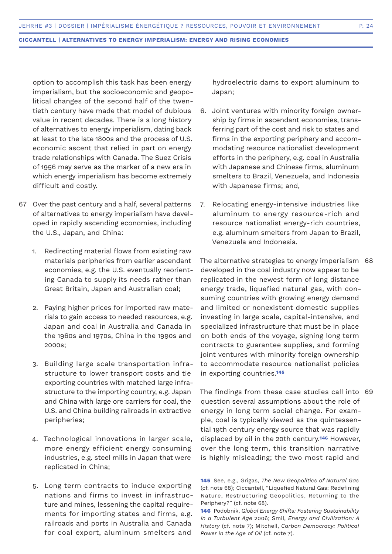option to accomplish this task has been energy imperialism, but the socioeconomic and geopolitical changes of the second half of the twentieth century have made that model of dubious value in recent decades. There is a long history of alternatives to energy imperialism, dating back at least to the late 1800s and the process of U.S. economic ascent that relied in part on energy trade relationships with Canada. The Suez Crisis of 1956 may serve as the marker of a new era in which energy imperialism has become extremely difficult and costly.

- 67 Over the past century and a half, several patterns of alternatives to energy imperialism have developed in rapidly ascending economies, including the U.S., Japan, and China:
	- 1. Redirecting material flows from existing raw materials peripheries from earlier ascendant economies, e.g. the U.S. eventually reorienting Canada to supply its needs rather than Great Britain, Japan and Australian coal;
	- 2. Paying higher prices for imported raw materials to gain access to needed resources, e.g. Japan and coal in Australia and Canada in the 1960s and 1970s, China in the 1990s and 2000s;
	- 3. Building large scale transportation infrastructure to lower transport costs and tie exporting countries with matched large infrastructure to the importing country, e.g. Japan and China with large ore carriers for coal, the U.S. and China building railroads in extractive peripheries;
	- 4. Technological innovations in larger scale, more energy efficient energy consuming industries, e.g. steel mills in Japan that were replicated in China;
	- 5. Long term contracts to induce exporting nations and firms to invest in infrastructure and mines, lessening the capital requirements for importing states and firms, e.g. railroads and ports in Australia and Canada for coal export, aluminum smelters and

hydroelectric dams to export aluminum to Japan;

- 6. Joint ventures with minority foreign ownership by firms in ascendant economies, transferring part of the cost and risk to states and firms in the exporting periphery and accommodating resource nationalist development efforts in the periphery, e.g. coal in Australia with Japanese and Chinese firms, aluminum smelters to Brazil, Venezuela, and Indonesia with Japanese firms; and,
- 7. Relocating energy-intensive industries like aluminum to energy resource-rich and resource nationalist energy-rich countries, e.g. aluminum smelters from Japan to Brazil, Venezuela and Indonesia.

The alternative strategies to energy imperialism 68 developed in the coal industry now appear to be replicated in the newest form of long distance energy trade, liquefied natural gas, with consuming countries with growing energy demand and limited or nonexistent domestic supplies investing in large scale, capital-intensive, and specialized infrastructure that must be in place on both ends of the voyage, signing long term contracts to guarantee supplies, and forming joint ventures with minority foreign ownership to accommodate resource nationalist policies in exporting countries.**<sup>145</sup>**

The findings from these case studies call into 69question several assumptions about the role of energy in long term social change. For example, coal is typically viewed as the quintessential 19th century energy source that was rapidly displaced by oil in the 20th century.**146** However, over the long term, this transition narrative is highly misleading; the two most rapid and

**<sup>145</sup>** See, e.g., Grigas, *The New Geopolitics of Natural Gas*  (cf. note 68); Ciccantell, "Liquefied Natural Gas: Redefining Nature, Restructuring Geopolitics, Returning to the Periphery?" (cf. note 68).

**<sup>146</sup>** Podobnik, *Global Energy Shifts: Fostering Sustainability in a Turbulent Age* 2006; Smil, *Energy and Civilization: A History* (cf. note 7); Mitchell, *Carbon Democracy: Political Power in the Age of Oil* (cf. note 7).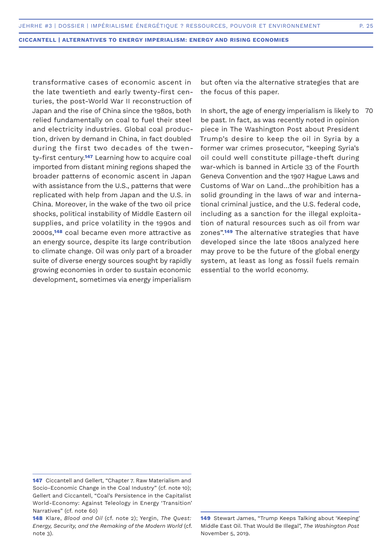transformative cases of economic ascent in the late twentieth and early twenty-first centuries, the post-World War II reconstruction of Japan and the rise of China since the 1980s, both relied fundamentally on coal to fuel their steel and electricity industries. Global coal production, driven by demand in China, in fact doubled during the first two decades of the twenty-first century.**147** Learning how to acquire coal imported from distant mining regions shaped the broader patterns of economic ascent in Japan with assistance from the U.S., patterns that were replicated with help from Japan and the U.S. in China. Moreover, in the wake of the two oil price shocks, political instability of Middle Eastern oil supplies, and price volatility in the 1990s and 2000s,**148** coal became even more attractive as an energy source, despite its large contribution to climate change. Oil was only part of a broader suite of diverse energy sources sought by rapidly growing economies in order to sustain economic development, sometimes via energy imperialism

but often via the alternative strategies that are the focus of this paper.

In short, the age of energy imperialism is likely to 70be past. In fact, as was recently noted in opinion piece in The Washington Post about President Trump's desire to keep the oil in Syria by a former war crimes prosecutor, "keeping Syria's oil could well constitute pillage-theft during war-which is banned in Article 33 of the Fourth Geneva Convention and the 1907 Hague Laws and Customs of War on Land…the prohibition has a solid grounding in the laws of war and international criminal justice, and the U.S. federal code, including as a sanction for the illegal exploitation of natural resources such as oil from war zones".**149** The alternative strategies that have developed since the late 1800s analyzed here may prove to be the future of the global energy system, at least as long as fossil fuels remain essential to the world economy.

**<sup>147</sup>** Ciccantell and Gellert, "Chapter 7. Raw Materialism and Socio-Economic Change in the Coal Industry" (cf. note 10); Gellert and Ciccantell, "Coal's Persistence in the Capitalist World-Economy: Against Teleology in Energy 'Transition' Narratives" (cf. note 60)

**<sup>148</sup>** Klare, *Blood and Oil* (cf. note 2); Yergin, *The Quest: Energy, Security, and the Remaking of the Modern World* (cf. note 3).

**<sup>149</sup>** Stewart James, "Trump Keeps Talking about 'Keeping' Middle East Oil. That Would Be Illegal", *The Washington Post*  November 5, 2019.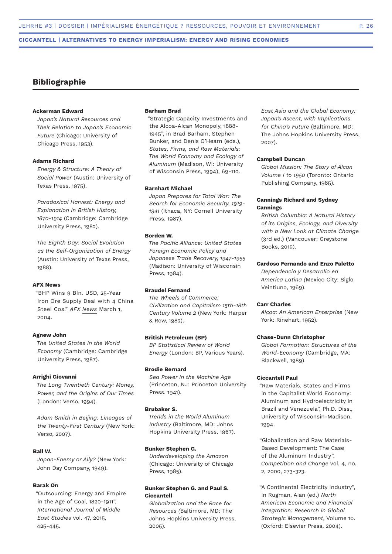# **Bibliographie**

# **Ackerman Edward**

*Japan's Natural Resources and Their Relation to Japan's Economic Future* (Chicago: University of Chicago Press, 1953).

### **Adams Richard**

*Energy & Structure: A Theory of Social Power* (Austin: University of Texas Press, 1975).

*Paradoxical Harvest: Energy and Explanation in British History, 1870-1914* (Cambridge: Cambridge University Press, 1982).

*The Eighth Day: Social Evolution as the Self-Organization of Energy* (Austin: University of Texas Press, 1988).

# **AFX News**

"BHP Wins 9 Bln. USD, 25-Year Iron Ore Supply Deal with 4 China Steel Cos." *AFX News* March 1, 2004.

# **Agnew John**

*The United States in the World Economy* (Cambridge: Cambridge University Press, 1987).

# **Arrighi Giovanni**

*The Long Twentieth Century: Money, Power, and the Origins of Our Times* (London: Verso, 1994).

*Adam Smith in Beijing: Lineages of the Twenty-First Century* (New York: Verso, 2007).

# **Ball W.**

*Japan-Enemy or Ally?* (New York: John Day Company, 1949).

# **Barak On**

"Outsourcing: Energy and Empire in the Age of Coal, 1820-1911", *International Journal of Middle East Studies* vol. 47, 2015, 425-445.

#### **Barham Brad**

"Strategic Capacity Investments and the Alcoa-Alcan Monopoly, 1888- 1945", in Brad Barham, Stephen Bunker, and Denis O'Hearn (eds.), *States, Firms, and Raw Materials: The World Economy and Ecology of Aluminum* (Madison, WI: University of Wisconsin Press, 1994), 69-110.

#### **Barnhart Michael**

*Japan Prepares for Total War: The Search for Economic Security, 1919- 1941* (Ithaca, NY: Cornell University Press, 1987).

#### **Borden W.**

*The Pacific Alliance: United States Foreign Economic Policy and Japanese Trade Recovery, 1947-1955* (Madison: University of Wisconsin Press, 1984).

### **Braudel Fernand**

*The Wheels of Commerce: Civilization and Capitalism 15th-18th Century Volume 2* (New York: Harper & Row, 1982).

#### **British Petroleum (BP)**

*BP Statistical Review of World Energy* (London: BP, Various Years).

#### **Brodie Bernard**

*Sea Power in the Machine Age* (Princeton, NJ: Princeton University Press. 1941).

# **Brubaker S.**

*Trends in the World Aluminum Industry* (Baltimore, MD: Johns Hopkins University Press, 1967).

# **Bunker Stephen G.**

*Underdeveloping the Amazon* (Chicago: University of Chicago Press, 1985).

### **Bunker Stephen G. and Paul S. Ciccantell**

*Globalization and the Race for Resources (*Baltimore, MD: The Johns Hopkins University Press, 2005).

*East Asia and the Global Economy: Japan's Ascent, with Implications for China's Future* (Baltimore, MD: The Johns Hopkins University Press, 2007).

#### **Campbell Duncan**

*Global Mission: The Story of Alcan Volume I to 1950* (Toronto: Ontario Publishing Company, 1985).

# **Cannings Richard and Sydney Cannings**

*British Columbia: A Natural History of its Origins, Ecology, and Diversity with a New Look at Climate Change* (3rd ed.) (Vancouver: Greystone Books, 2015).

# **Cardoso Fernando and Enzo Faletto**

*Dependencia y Desarrollo en America Latina (*Mexico City: Siglo Veintiuno, 1969).

#### **Carr Charles**

*Alcoa: An American Enterprise* (New York: Rinehart, 1952).

#### **Chase-Dunn Christopher**

*Global Formation: Structures of the World-Economy* (Cambridge, MA: Blackwell, 1989).

# **Ciccantell Paul**

"Raw Materials, States and Firms in the Capitalist World Economy: Aluminum and Hydroelectricity in Brazil and Venezuela", Ph.D. Diss., University of Wisconsin-Madison, 1994.

"Globalization and Raw Materials-Based Development: The Case of the Aluminum Industry", *Competition and Change* vol. 4, no. 2, 2000, 273-323.

"A Continental Electricity Industry", In Rugman, Alan (ed.) *North American Economic and Financial Integration: Research in Global Strategic Management*, Volume 10. (Oxford: Elsevier Press, 2004).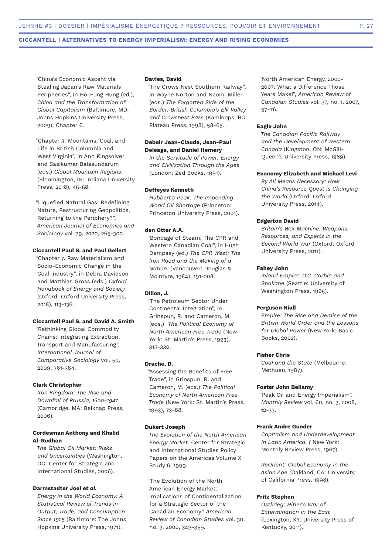"China's Economic Ascent via Stealing Japan's Raw Materials Peripheries", In Ho-Fung Hung (ed.), *China and the Transformation of Global Capitalism* (Baltimore, MD: Johns Hopkins University Press, 2009), Chapter 6.

"Chapter 3: Mountains, Coal, and Life in British Columbia and West Virginia", in Ann Kingsolver and Sasikumar Balasundarum (eds.) *Global Mountain Regions*. (Bloomington, IN: Indiana University Press, 2018), 45-58.

"Liquefied Natural Gas: Redefining Nature, Restructuring Geopolitics, Returning to the Periphery?", *American Journal of Economics and Sociology* vol. 79, 2020, 265-300.

#### **Ciccantell Paul S. and Paul Gellert**

"Chapter 7. Raw Materialism and Socio-Economic Change in the Coal Industry", in Debra Davidson and Matthias Gross (eds.) *Oxford Handbook of Energy and Society* (Oxford: Oxford University Press, 2018), 113-136.

#### **Ciccantell Paul S. and David A. Smith**

"Rethinking Global Commodity Chains: Integrating Extraction, Transport and Manufacturing", *International Journal of Comparative Sociology* vol. 50, 2009, 361-384.

#### **Clark Christopher**

*Iron Kingdom: The Rise and Downfall of Prussia, 1600-1947* (Cambridge, MA: Belknap Press, 2006).

#### **Cordesman Anthony and Khalid Al-Rodhan**

*The Global Oil Market: Risks and Uncertainties* (Washington, DC: Center for Strategic and International Studies, 2006).

#### **Darmstadter Joel** *et al.*

*Energy in the World Economy: A Statistical Review of Trends in Output, Trade, and Consumption Since 1925* (Baltimore: The Johns Hopkins University Press, 1971).

#### **Davies, David**

"The Crows Nest Southern Railway", in Wayne Norton and Naomi Miller (eds.) *The Forgotten Side of the Border: British Columbia's Elk Valley and Crowsnest Pass* (Kamloops, BC: Plateau Press, 1998), 58-65.

# **Debeir Jean-Claude, Jean-Paul Deleage, and Daniel Hemery**

*In the Servitude of Power: Energy and Civilization Through the Ages* (London: Zed Books, 1991).

# **Deffeyes Kenneth**

*Hubbert's Peak: The Impending World Oil Shortage* (Princeton: Princeton University Press, 2001).

# **den Otter A.A.**

"Bondage of Steam: The CPR and Western Canadian Coal", in Hugh Dempsey (ed.) *The CPR West: The Iron Road and the Making of a Nation*. (Vancouver: Douglas & McIntyre, 1984), 191-208.

# **Dillon, J.**

"The Petroleum Sector Under Continental Integration", in Grinspun, R. and Cameron, M. (eds.) *The Political Economy of North American Free Trade* (New York: St. Martin's Press, 1993), 315-330.

# **Drache, D.**

"Assessing the Benefits of Free Trade", in Grinspun, R. and Cameron, M. (eds.) *The Political Economy of North American Free Trade* (New York: St. Martin's Press, 1993), 73-88.

### **Dukert Joseph**

*The Evolution of the North American Energy Market*. Center for Strategic and International Studies Policy Papers on the Americas Volume X Study 6, 1999.

"The Evolution of the North American Energy Market: Implications of Continentalization for a Strategic Sector of the Canadian Economy" *American Review of Canadian Studies* vol. 30, no. 3, 2000, 349-359.

"North American Energy, 2000- 2007: What a Difference Those Years Make!", *American Review of Canadian Studies* vol. 37, no. 1, 2007, 57-76.

#### **Eagle John**

*The Canadian Pacific Railway and the Development of Western Canada* (Kingston, ON: McGill-Queen's University Press, 1989).

#### **Economy Elizabeth and Michael Levi**

*By All Means Necessary: How China's Resource Quest is Changing the World* (Oxford: Oxford University Press, 2014).

#### **Edgerton David**

*Britain's War Machine: Weapons, Resources, and Experts in the Second World War* (Oxford: Oxford University Press, 2011).

#### **Fahey John**

*Inland Empire: D.C. Corbin and Spokane* (Seattle: University of Washington Press, 1965).

#### **Ferguson Niall**

*Empire: The Rise and Demise of the British World Order and the Lessons for Global Power* (New York: Basic Books, 2002).

### **Fisher Chris**

*Coal and the State* (Melbourne: Methuen, 1987).

#### **Foster John Bellamy**

"Peak Oil and Energy Imperialism", *Monthly Review* vol. 60, no. 3, 2008, 12-33.

#### **Frank Andre Gunder**

*Capitalism and Underdevelopment in Latin America. (* New York: Monthly Review Press, 1967).

*ReOrient: Global Economy in the Asian Age (*Oakland, CA: University of California Press, 1998).

#### **Fritz Stephen**

*Ostkrieg: Hitler's War of Extermination in the East* (Lexington, KY: University Press of Kentucky, 2011).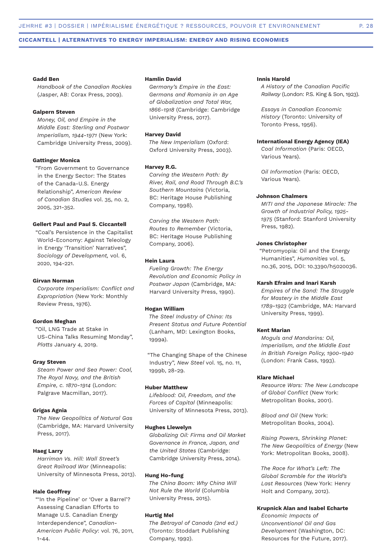#### **Gadd Ben**

*Handbook of the Canadian Rockies* (Jasper, AB: Corax Press, 2009).

#### **Galpern Steven**

*Money, Oil, and Empire in the Middle East: Sterling and Postwar Imperialism, 1944-1971* (New York: Cambridge University Press, 2009).

#### **Gattinger Monica**

"From Government to Governance in the Energy Sector: The States of the Canada-U.S. Energy Relationship", *American Review of Canadian Studies* vol. 35, no. 2, 2005, 321-352.

#### **Gellert Paul and Paul S. Ciccantell**

"Coal's Persistence in the Capitalist World-Economy: Against Teleology in Energy 'Transition' Narratives", *Sociology of Development,* vol. 6, 2020, 194-221.

#### **Girvan Norman**

*Corporate Imperialism: Conflict and Expropriation* (New York: Monthly Review Press, 1976).

# **Gordon Meghan**

"Oil, LNG Trade at Stake in US-China Talks Resuming Monday", *Platts* January 4, 2019.

#### **Gray Steven**

*Steam Power and Sea Power: Coal, The Royal Navy, and the British Empire, c. 1870-1914* (London: Palgrave Macmillan, 2017).

### **Grigas Agnia**

*The New Geopolitics of Natural Gas* (Cambridge, MA: Harvard University Press, 2017).

# **Haeg Larry**

*Harriman Vs. Hill: Wall Street's Great Railroad War* (Minneapolis: University of Minnesota Press, 2013).

#### **Hale Geoffrey**

"'In the Pipeline' or 'Over a Barrel'? Assessing Canadian Efforts to Manage U.S. Canadian Energy Interdependence", *Canadian-American Public Policy*: vol. 76, 2011, 1-44.

#### **Hamlin David**

*Germany's Empire in the East: Germans and Romania in an Age of Globalization and Total War, 1866-1918* (Cambridge: Cambridge University Press, 2017).

# **Harvey David**

*The New Imperialism* (Oxford: Oxford University Press, 2003).

#### **Harvey R.G.**

*Carving the Western Path: By River, Rail, and Road Through B.C.'s Southern Mountains* (Victoria, BC: Heritage House Publishing Company, 1998).

*Carving the Western Path: Routes to Remember* (Victoria, BC: Heritage House Publishing Company, 2006).

#### **Hein Laura**

*Fueling Growth: The Energy Revolution and Economic Policy in Postwar Japan* (Cambridge, MA: Harvard University Press, 1990).

#### **Hogan William**

*The Steel Industry of China: Its Present Status and Future Potential* (Lanham, MD: Lexington Books, 1999a).

"The Changing Shape of the Chinese Industry", *New Steel* vol. 15, no. 11, 1999b, 28-29.

#### **Huber Matthew**

*Lifeblood: Oil, Freedom, and the Forces of Capital* (Minneapolis: University of Minnesota Press, 2013).

#### **Hughes Llewelyn**

*Globalizing Oil: Firms and Oil Market Governance in France, Japan, and the United States* (Cambridge: Cambridge University Press, 2014).

# **Hung Ho-fung**

*The China Boom: Why China Will Not Rule the World* (Columbia University Press, 2015).

# **Hurtig Mel**

*The Betrayal of Canada (2nd ed.)* (Toronto: Stoddart Publishing Company, 1992).

#### **Innis Harold**

*A History of the Canadian Pacific Railway* (London: P.S. King & Son, 1923).

*Essays in Canadian Economic History* (Toronto: University of Toronto Press, 1956).

#### **International Energy Agency (IEA)**

*Coal Information* (Paris: OECD, Various Years).

*Oil Information* (Paris: OECD, Various Years).

#### **Johnson Chalmers**

*MITI and the Japanese Miracle: The Growth of Industrial Policy, 1925- 1975* (Stanford: Stanford University Press, 1982).

#### **Jones Christopher**

"Petromyopia: Oil and the Energy Humanities", *Humanities* vol. 5, no.36, 2015, DOI: 10.3390/h5020036.

# **Karsh Efraim and Inari Karsh**

*Empires of the Sand: The Struggle for Mastery in the Middle East 1789-1923* (Cambridge, MA: Harvard University Press, 1999).

#### **Kent Marian**

*Moguls and Mandarins: Oil, Imperialism, and the Middle East in British Foreign Policy, 1900-1940* (London: Frank Cass, 1993).

# **Klare Michael**

*Resource Wars: The New Landscape of Global Conflict* (New York: Metropolitan Books, 2001).

*Blood and Oil* (New York: Metropolitan Books, 2004).

*Rising Powers, Shrinking Planet: The New Geopolitics of Energy* (New York: Metropolitan Books, 2008).

*The Race for What's Left: The Global Scramble for the World's Last Resources* (New York: Henry Holt and Company, 2012).

# **Krupnick Alan and Isabel Echarte**

*Economic Impacts of Unconventional Oil and Gas Development* (Washington, DC: Resources for the Future, 2017).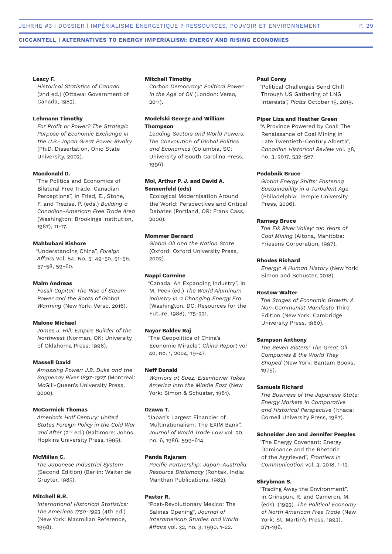#### **Leacy F.**

*Historical Statistics of Canada* (2nd ed.) (Ottawa: Government of Canada, 1983).

# **Lehmann Timothy**

*For Profit or Power? The Strategic Purpose of Economic Exchange in the U.S.-Japan Great Power Rivalry* (Ph.D. Dissertation, Ohio State University, 2002).

# **Macdonald D.**

"The Politics and Economics of Bilateral Free Trade: Canadian Perceptions", in Fried, E., Stone, F. and Trezise, P. (eds.) *Building a Canadian-American Free Trade Area* (Washington: Brookings Institution, 1987), 11-17.

### **Mahbubani Kishore**

"Understanding China", *Foreign Affairs* Vol. 84, No. 5: 49-50, 51-56, 57-58, 59-60.

#### **Malm Andreas**

*Fossil Capital: The Rise of Steam Power and the Roots of Global Warming* (New York: Verso, 2016).

#### **Malone Michael**

*James J. Hill: Empire Builder of the Northwest* (Norman, OK: University of Oklahoma Press, 1996).

### **Massell David**

*Amassing Power: J.B. Duke and the Saguenay River 1897-1927* (Montreal: McGill-Queen's University Press, 2000).

# **McCormick Thomas**

*America's Half Century: United States Foreign Policy in the Cold War and After* (2nd ed.) (Baltimore: Johns Hopkins University Press, 1995).

# **McMillan C.**

*The Japanese Industrial System* (Second Edition) (Berlin: Walter de Gruyter, 1985).

# **Mitchell B.R.**

*International Historical Statistics: The Americas 1750-1993* (4th ed.) (New York: Macmillan Reference, 1998).

#### **Mitchell Timothy**

*Carbon Democracy: Political Power in the Age of Oil* (London: Verso, 2011).

# **Modelski George and William Thompson**

*Leading Sectors and World Powers: The Coevolution of Global Politics and Economics* (Columbia, SC: University of South Carolina Press, 1996).

# **Mol, Arthur P. J. and David A. Sonnenfeld (eds)**

Ecological Modernisation Around the World: Perspectives and Critical Debates (Portland, OR: Frank Cass, 2000).

### **Mommer Bernard**

*Global Oil and the Nation State* (Oxford: Oxford University Press, 2002).

### **Nappi Carmine**

"Canada: An Expanding Industry", in M. Peck (ed.) *The World Aluminum Industry in a Changing Energy Era* (Washington, DC: Resources for the Future, 1988), 175-221.

#### **Nayar Baldev Raj**

"The Geopolitics of China's Economic Miracle", *China Report* vol 40, no. 1, 2004, 19-47.

# **Neff Donald**

*Warriors at Suez: Eisenhower Takes America into the Middle East* (New York: Simon & Schuster, 1981).

#### **Ozawa T.**

"Japan's Largest Financier of Multinationalism: The EXIM Bank", *Journal of World Trade Law* vol. 20, no. 6, 1986, 599-614.

#### **Panda Rajaram**

*Pacific Partnership: Japan-Australia Resource Diplomacy* (Rohtak, India: Manthan Publications, 1982).

#### **Pastor R.**

"Post-Revolutionary Mexico: The Salinas Opening", *Journal of Interamerican Studies and World Affairs* vol. 32, no. 3, 1990. 1-22.

#### **Paul Corey**

"Political Challenges Send Chill Through US Gathering of LNG Interests", *Platts* October 15, 2019.

#### **Piper Liza and Heather Green**

"A Province Powered by Coal: The Renaissance of Coal Mining in Late Twentieth-Century Alberta", *Canadian Historical Review* vol. 98, no. 3, 2017, 532-567.

#### **Podobnik Bruce**

*Global Energy Shifts: Fostering Sustainability in a Turbulent Age* (Philadelphia: Temple University Press, 2006).

#### **Ramsey Bruce**

*The Elk River Valley: 100 Years of Coal Mining* (Altona, Manitoba: Friesens Corporation, 1997).

#### **Rhodes Richard**

*Energy: A Human History* (New York: Simon and Schuster, 2018).

### **Rostow Walter**

*The Stages of Economic Growth: A Non-Communist Manifesto* Third Edition (New York: Cambridge University Press, 1960).

#### **Sampson Anthony**

*The Seven Sisters: The Great Oil Companies & the World They Shaped* (New York: Bantam Books, 1975).

#### **Samuels Richard**

*The Business of the Japanese State: Energy Markets in Comparative and Historical Perspective* (Ithaca: Cornell University Press, 1987).

#### **Schneider Jen and Jennifer Peeples**

"The Energy Covenant: Energy Dominance and the Rhetoric of the Aggrieved", *Frontiers in Communication* vol. 3, 2018, 1-12.

# **Shrybman S.**

"Trading Away the Environment", in Grinspun, R. and Cameron, M. (eds). (1993). *The Political Economy of North American Free Trade* (New York: St. Martin's Press, 1993), 271-196.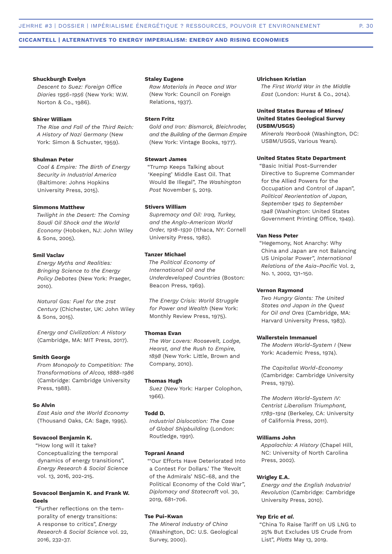#### **Shuckburgh Evelyn**

*Descent to Suez: Foreign Office Diaries 1956-1956* (New York: W.W. Norton & Co., 1986).

### **Shirer William**

*The Rise and Fall of the Third Reich: A History of Nazi Germany* (New York: Simon & Schuster, 1959).

# **Shulman Peter**

*Coal & Empire: The Birth of Energy Security in Industrial America* (Baltimore: Johns Hopkins University Press, 2015).

# **Simmons Matthew**

*Twilight in the Desert: The Coming Saudi Oil Shock and the World Economy* (Hoboken, NJ: John Wiley & Sons, 2005).

# **Smil Vaclav**

*Energy Myths and Realities: Bringing Science to the Energy Policy Debates* (New York: Praeger, 2010).

*Natural Gas: Fuel for the 21st Century* (Chichester, UK: John Wiley & Sons, 2015).

*Energy and Civilization: A History* (Cambridge, MA: MIT Press, 2017).

### **Smith George**

*From Monopoly to Competition: The Transformations of Alcoa, 1888-1986* (Cambridge: Cambridge University Press, 1988).

### **So Alvin**

*East Asia and the World Economy* (Thousand Oaks, CA: Sage, 1995).

# **Sovacool Benjamin K.**

"How long will it take? Conceptualizing the temporal dynamics of energy transitions", *Energy Research & Social Science*  vol. 13, 2016, 202-215.

# **Sovacool Benjamin K. and Frank W. Geels**

"Further reflections on the temporality of energy transitions: A response to critics", *Energy Research & Social Science* vol. 22, 2016, 232-37.

### **Staley Eugene**

*Raw Materials in Peace and War* (New York: Council on Foreign Relations, 1937).

# **Stern Fritz**

*Gold and Iron: Bismarck, Bleichroder, and the Building of the German Empire* (New York: Vintage Books, 1977).

#### **Stewart James**

"Trump Keeps Talking about 'Keeping' Middle East Oil. That Would Be Illegal", *The Washington Post* November 5, 2019.

#### **Stivers William**

*Supremacy and Oil: Iraq, Turkey, and the Anglo-American World Order, 1918-1930* (Ithaca, NY: Cornell University Press, 1982).

# **Tanzer Michael**

*The Political Economy of International Oil and the Underdeveloped Countries* (Boston: Beacon Press, 1969).

*The Energy Crisis: World Struggle for Power and Wealth* (New York: Monthly Review Press, 1975).

#### **Thomas Evan**

*The War Lovers: Roosevelt, Lodge, Hearst, and the Rush to Empire, 1898* (New York: Little, Brown and Company, 2010).

#### **Thomas Hugh**

*Suez* (New York: Harper Colophon, 1966).

# **Todd D.**

*Industrial Dislocation: The Case of Global Shipbuilding* (London: Routledge, 1991).

#### **Toprani Anand**

"'Our Efforts Have Deteriorated Into a Contest For Dollars.' The 'Revolt of the Admirals' NSC-68, and the Political Economy of the Cold War", *Diplomacy and Statecraft* vol. 30, 2019, 681-706.

# **Tse Pui-Kwan**

*The Mineral Industry of China* (Washington, DC: U.S. Geological Survey, 2000).

#### **Ulrichsen Kristian**

*The First World War in the Middle East* (London: Hurst & Co., 2014).

# **United States Bureau of Mines/ United States Geological Survey (USBM/USGS)**

*Minerals Yearbook* (Washington, DC: USBM/USGS, Various Years).

#### **United States State Department**

"Basic Initial Post-Surrender Directive to Supreme Commander for the Allied Powers for the Occupation and Control of Japan", *Political Reorientation of Japan, September 1945 to September 1948* (Washington: United States Government Printing Office, 1949).

#### **Van Ness Peter**

"Hegemony, Not Anarchy: Why China and Japan are not Balancing US Unipolar Power", *International Relations of the Asia-Pacific* Vol. 2, No. 1, 2002, 131-150.

### **Vernon Raymond**

*Two Hungry Giants: The United States and Japan in the Quest for Oil and Ores* (Cambridge, MA: Harvard University Press, 1983).

#### **Wallerstein Immanuel**

*The Modern World-System I* (New York: Academic Press, 1974).

*The Capitalist World-Economy* (Cambridge: Cambridge University Press, 1979).

*The Modern World-System IV: Centrist Liberalism Triumphant, 1789-1914* (Berkeley, CA: University of California Press, 2011).

# **Williams John**

*Appalachia: A History* (Chapel Hill, NC: University of North Carolina Press, 2002).

# **Wrigley E.A.**

*Energy and the English Industrial Revolution* (Cambridge: Cambridge University Press, 2010).

### **Yep Eric** *et al***.**

"China To Raise Tariff on US LNG to 25% But Excludes US Crude from List", *Platts* May 13, 2019.